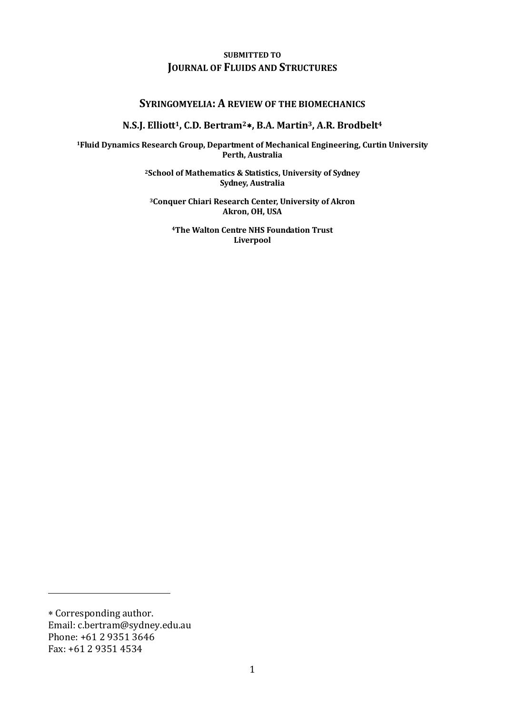#### **SUBMITTED TO JOURNAL OF FLUIDS AND STRUCTURES**

#### **SYRINGOMYELIA: A REVIEW OF THE BIOMECHANICS**

#### **N.S.J. Elliott1, C.D. Bertram2**[∗](#page-0-0)**, B.A. Martin3, A.R. Brodbelt4**

**1Fluid Dynamics Research Group, Department of Mechanical Engineering, Curtin University Perth, Australia**

> **2School of Mathematics & Statistics, University of Sydney Sydney, Australia**

**3Conquer Chiari Research Center, University of Akron Akron, OH, USA**

> **4The Walton Centre NHS Foundation Trust Liverpool**

i<br>I

<span id="page-0-0"></span><sup>∗</sup> Corresponding author. Email: c.bertram@sydney.edu.au Phone: +61 2 9351 3646 Fax: +61 2 9351 4534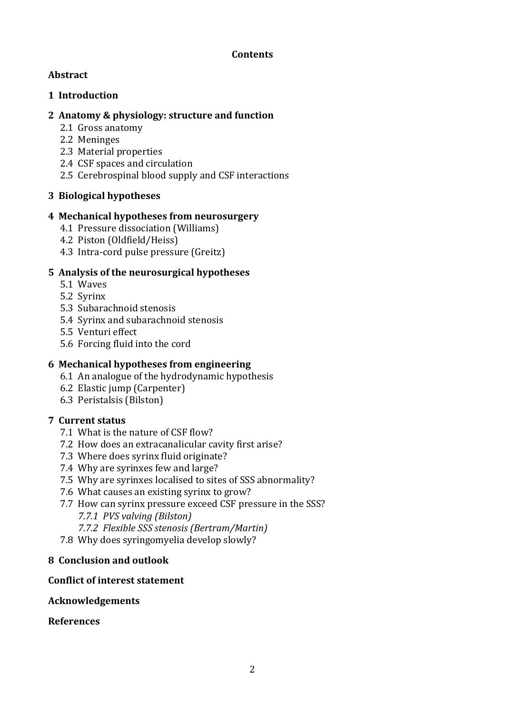#### **Contents**

### **Abstract**

#### **1 Introduction**

#### **2 Anatomy & physiology: structure and function**

- 2.1 Gross anatomy
- 2.2 Meninges
- 2.3 Material properties
- 2.4 CSF spaces and circulation
- 2.5 Cerebrospinal blood supply and CSF interactions

### **3 Biological hypotheses**

### **4 Mechanical hypotheses from neurosurgery**

- 4.1 Pressure dissociation (Williams)
- 4.2 Piston (Oldfield/Heiss)
- 4.3 Intra-cord pulse pressure (Greitz)

### **5 Analysis of the neurosurgical hypotheses**

- 5.1 Waves
- 5.2 Syrinx
- 5.3 Subarachnoid stenosis
- 5.4 Syrinx and subarachnoid stenosis
- 5.5 Venturi effect
- 5.6 Forcing fluid into the cord

# **6 Mechanical hypotheses from engineering**

- 6.1 An analogue of the hydrodynamic hypothesis
- 6.2 Elastic jump (Carpenter)
- 6.3 Peristalsis (Bilston)

#### **7 Current status**

- 7.1 What is the nature of CSF flow?
- 7.2 How does an extracanalicular cavity first arise?
- 7.3 Where does syrinx fluid originate?
- 7.4 Why are syrinxes few and large?
- 7.5 Why are syrinxes localised to sites of SSS abnormality?
- 7.6 What causes an existing syrinx to grow?
- 7.7 How can syrinx pressure exceed CSF pressure in the SSS? *7.7.1 PVS valving (Bilston)*
	- *7.7.2 Flexible SSS stenosis (Bertram/Martin)*
- 7.8 Why does syringomyelia develop slowly?

# **8 Conclusion and outlook**

#### **Conflict of interest statement**

#### **Acknowledgements**

**References**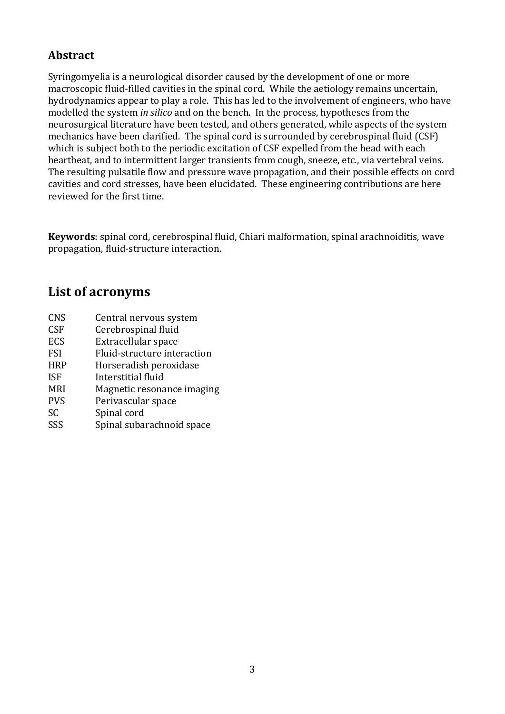# **Abstract**

Syringomyelia is a neurological disorder caused by the development of one or more macroscopic fluid-filled cavities in the spinal cord. While the aetiology remains uncertain, hydrodynamics appear to play a role. This has led to the involvement of engineers, who have modelled the system *in silico* and on the bench. In the process, hypotheses from the neurosurgical literature have been tested, and others generated, while aspects of the system mechanics have been clarified. The spinal cord is surrounded by cerebrospinal fluid (CSF) which is subject both to the periodic excitation of CSF expelled from the head with each heartbeat, and to intermittent larger transients from cough, sneeze, etc., via vertebral veins. The resulting pulsatile flow and pressure wave propagation, and their possible effects on cord cavities and cord stresses, have been elucidated. These engineering contributions are here reviewed for the first time.

**Keywords**: spinal cord, cerebrospinal fluid, Chiari malformation, spinal arachnoiditis, wave propagation, fluid-structure interaction.

# **List of acronyms**

- CNS Central nervous system<br>
CSF Cerebrospinal fluid
- CSF Cerebrospinal fluid<br>ECS Extracellular space
- ECS Extracellular space<br>FSI Fluid-structure inte
- FSI Fluid-structure interaction<br>HRP Horseradish peroxidase
- HRP Horseradish peroxidase<br>ISF Interstitial fluid
- ISF Interstitial fluid<br>
MRI Magnetic resona
- MRI Magnetic resonance imaging<br>PVS Perivascular space
- PVS Perivascular space<br>SC Spinal cord
- SC Spinal cord<br>SSS Spinal suba
- Spinal subarachnoid space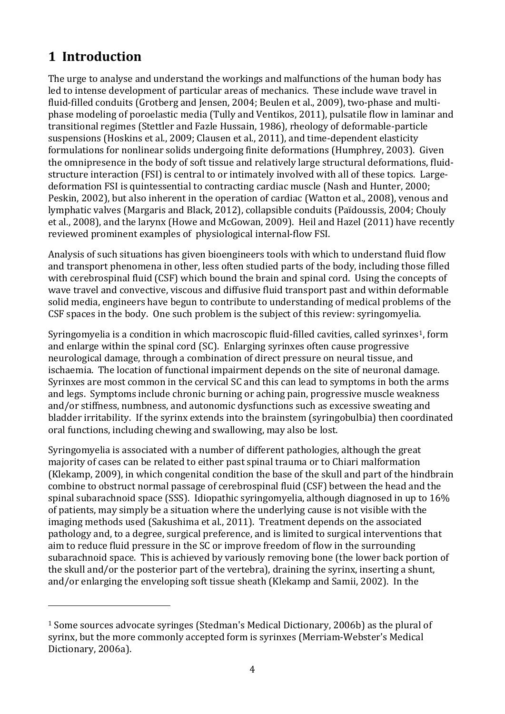# **1 Introduction**

i<br>I

The urge to analyse and understand the workings and malfunctions of the human body has led to intense development of particular areas of mechanics. These include wave travel in fluid-filled conduits [\(Grotberg and Jensen, 2004;](#page-33-0) [Beulen et al., 2009\)](#page-30-0), two-phase and multiphase modeling of poroelastic media [\(Tully and Ventikos, 2011\)](#page-38-0), pulsatile flow in laminar and transitional regimes [\(Stettler and Fazle Hussain, 1986\)](#page-38-1), rheology of deformable-particle suspensions [\(Hoskins et al., 2009;](#page-34-0) [Clausen et al., 2011\)](#page-32-0), and time-dependent elasticity formulations for nonlinear solids undergoing finite deformations [\(Humphrey, 2003\)](#page-34-1). Given the omnipresence in the body of soft tissue and relatively large structural deformations, fluidstructure interaction (FSI) is central to or intimately involved with all of these topics. Largedeformation FSI is quintessential to contracting cardiac muscle [\(Nash and Hunter, 2000;](#page-36-0) [Peskin, 2002\)](#page-37-0), but also inherent in the operation of cardiac [\(Watton et al., 2008\)](#page-39-0), venous and lymphatic valves [\(Margaris and Black, 2012\)](#page-35-0), collapsible conduits [\(Païdoussis, 2004;](#page-36-1) [Chouly](#page-32-1)  [et al., 2008\)](#page-32-1), and the larynx [\(Howe and McGowan, 2009\)](#page-34-2). Heil and Hazel [\(2011\)](#page-33-1) have recently reviewed prominent examples of physiological internal-flow FSI.

Analysis of such situations has given bioengineers tools with which to understand fluid flow and transport phenomena in other, less often studied parts of the body, including those filled with cerebrospinal fluid (CSF) which bound the brain and spinal cord. Using the concepts of wave travel and convective, viscous and diffusive fluid transport past and within deformable solid media, engineers have begun to contribute to understanding of medical problems of the CSF spaces in the body. One such problem is the subject of this review: syringomyelia.

Syringomyelia is a condition in which macroscopic fluid-filled cavities, called syrinxes<sup>1</sup>, form and enlarge within the spinal cord (SC). Enlarging syrinxes often cause progressive neurological damage, through a combination of direct pressure on neural tissue, and ischaemia. The location of functional impairment depends on the site of neuronal damage. Syrinxes are most common in the cervical SC and this can lead to symptoms in both the arms and legs. Symptoms include chronic burning or aching pain, progressive muscle weakness and/or stiffness, numbness, and autonomic dysfunctions such as excessive sweating and bladder irritability. If the syrinx extends into the brainstem (syringobulbia) then coordinated oral functions, including chewing and swallowing, may also be lost.

Syringomyelia is associated with a number of different pathologies, although the great majority of cases can be related to either past spinal trauma or to Chiari malformation [\(Klekamp, 2009\)](#page-35-1), in which congenital condition the base of the skull and part of the hindbrain combine to obstruct normal passage of cerebrospinal fluid (CSF) between the head and the spinal subarachnoid space (SSS). Idiopathic syringomyelia, although diagnosed in up to 16% of patients, may simply be a situation where the underlying cause is not visible with the imaging methods used [\(Sakushima et al., 2011\)](#page-37-1). Treatment depends on the associated pathology and, to a degree, surgical preference, and is limited to surgical interventions that aim to reduce fluid pressure in the SC or improve freedom of flow in the surrounding subarachnoid space. This is achieved by variously removing bone (the lower back portion of the skull and/or the posterior part of the vertebra), draining the syrinx, inserting a shunt, and/or enlarging the enveloping soft tissue sheath [\(Klekamp and Samii, 2002\)](#page-35-2). In the

<span id="page-3-0"></span><sup>1</sup> Some sources advocate syringes (Stedman['s Medical Dictionary, 2006b\)](#page-30-1) as the plural of syrinx, but the more commonly accepted form is syrinxes [\(Merriam-Webster](#page-30-2)'s Medical [Dictionary, 2006a\)](#page-30-2).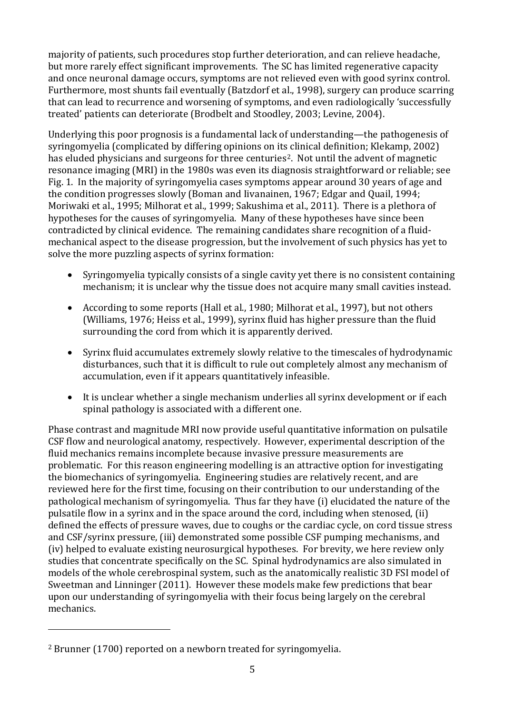majority of patients, such procedures stop further deterioration, and can relieve headache, but more rarely effect significant improvements. The SC has limited regenerative capacity and once neuronal damage occurs, symptoms are not relieved even with good syrinx control. Furthermore, most shunts fail eventually [\(Batzdorf et al., 1998\)](#page-30-3), surgery can produce scarring that can lead to recurrence and worsening of symptoms, and even radiologically 'successfully treated' patients can deteriorate [\(Brodbelt and Stoodley, 2003;](#page-31-0) [Levine, 2004\)](#page-35-3).

Underlying this poor prognosis is a fundamental lack of understanding—the pathogenesis of syringomyelia [\(complicated by differing opinions on its clinical definition; Klekamp, 2002\)](#page-34-3) has eluded physicians and surgeons for three centuries<sup>[2](#page-4-0)</sup>. Not until the advent of magnetic resonance imaging (MRI) in the 1980s was even its diagnosis straightforward or reliable; see Fig. 1. In the majority of syringomyelia cases symptoms appear around 30 years of age and the condition progresses slowly [\(Boman and Iivanainen, 1967;](#page-31-1) [Edgar and Quail, 1994;](#page-32-2) [Moriwaki et al., 1995;](#page-36-2) [Milhorat et al., 1999;](#page-36-3) [Sakushima et al., 2011\)](#page-37-1). There is a plethora of hypotheses for the causes of syringomyelia. Many of these hypotheses have since been contradicted by clinical evidence. The remaining candidates share recognition of a fluidmechanical aspect to the disease progression, but the involvement of such physics has yet to solve the more puzzling aspects of syrinx formation:

- Syringomyelia typically consists of a single cavity yet there is no consistent containing mechanism; it is unclear why the tissue does not acquire many small cavities instead.
- According to some reports [\(Hall et al., 1980;](#page-33-2) [Milhorat et al., 1997\)](#page-36-4), but not others [\(Williams, 1976;](#page-39-1) [Heiss et al., 1999\)](#page-34-4), syrinx fluid has higher pressure than the fluid surrounding the cord from which it is apparently derived.
- Syrinx fluid accumulates extremely slowly relative to the timescales of hydrodynamic disturbances, such that it is difficult to rule out completely almost any mechanism of accumulation, even if it appears quantitatively infeasible.
- It is unclear whether a single mechanism underlies all syrinx development or if each spinal pathology is associated with a different one.

Phase contrast and magnitude MRI now provide useful quantitative information on pulsatile CSF flow and neurological anatomy, respectively. However, experimental description of the fluid mechanics remains incomplete because invasive pressure measurements are problematic. For this reason engineering modelling is an attractive option for investigating the biomechanics of syringomyelia. Engineering studies are relatively recent, and are reviewed here for the first time, focusing on their contribution to our understanding of the pathological mechanism of syringomyelia. Thus far they have (i) elucidated the nature of the pulsatile flow in a syrinx and in the space around the cord, including when stenosed, (ii) defined the effects of pressure waves, due to coughs or the cardiac cycle, on cord tissue stress and CSF/syrinx pressure, (iii) demonstrated some possible CSF pumping mechanisms, and (iv) helped to evaluate existing neurosurgical hypotheses. For brevity, we here review only studies that concentrate specifically on the SC. Spinal hydrodynamics are also simulated in models of the whole cerebrospinal system, such as the anatomically realistic 3D FSI model of Sweetman and Linninger [\(2011\)](#page-38-2). However these models make few predictions that bear upon our understanding of syringomyelia with their focus being largely on the cerebral mechanics.

i<br>I

<span id="page-4-0"></span><sup>2</sup> Brunner [\(1700\)](#page-31-2) reported on a newborn treated for syringomyelia.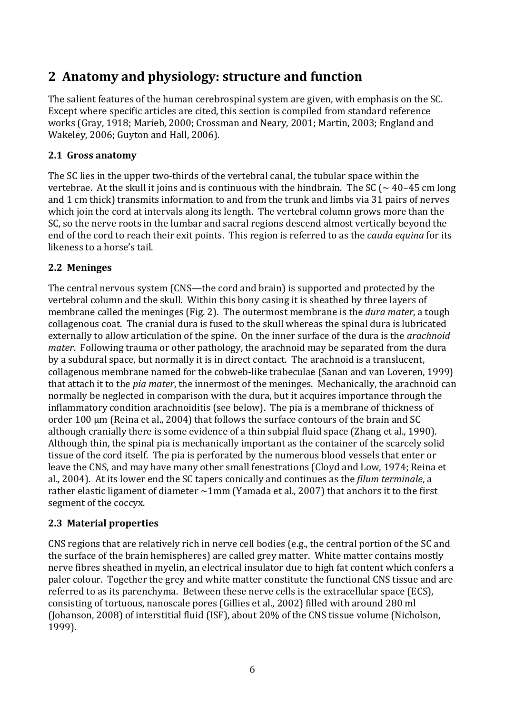# **2 Anatomy and physiology: structure and function**

The salient features of the human cerebrospinal system are given, with emphasis on the SC. Except where specific articles are cited, this section is compiled from standard reference works [\(Gray, 1918;](#page-33-3) [Marieb, 2000;](#page-35-4) [Crossman and Neary, 2001;](#page-32-3) [Martin, 2003;](#page-35-5) [England and](#page-32-4)  [Wakeley, 2006;](#page-32-4) [Guyton and Hall, 2006\)](#page-33-4).

#### **2.1 Gross anatomy**

The SC lies in the upper two-thirds of the vertebral canal, the tubular space within the vertebrae. At the skull it joins and is continuous with the hindbrain. The SC  $\sim$  40–45 cm long and 1 cm thick) transmits information to and from the trunk and limbs via 31 pairs of nerves which join the cord at intervals along its length. The vertebral column grows more than the SC, so the nerve roots in the lumbar and sacral regions descend almost vertically beyond the end of the cord to reach their exit points. This region is referred to as the *cauda equina* for its likeness to a horse's tail.

### **2.2 Meninges**

The central nervous system (CNS—the cord and brain) is supported and protected by the vertebral column and the skull. Within this bony casing it is sheathed by three layers of membrane called the meninges (Fig. 2). The outermost membrane is the *dura mater*, a tough collagenous coat. The cranial dura is fused to the skull whereas the spinal dura is lubricated externally to allow articulation of the spine. On the inner surface of the dura is the *arachnoid mater*. Following trauma or other pathology, the arachnoid may be separated from the dura by a subdural space, but normally it is in direct contact. The arachnoid is a translucent, collagenous membrane named for the cobweb-like trabeculae [\(Sanan and van Loveren, 1999\)](#page-37-2) that attach it to the *pia mater*, the innermost of the meninges. Mechanically, the arachnoid can normally be neglected in comparison with the dura, but it acquires importance through the inflammatory condition arachnoiditis (see below). The pia is a membrane of thickness of order 100 μm [\(Reina et al., 2004\)](#page-37-3) that follows the surface contours of the brain and SC although cranially there is some evidence of a thin subpial fluid space [\(Zhang et al., 1990\)](#page-39-2). Although thin, the spinal pia is mechanically important as the container of the scarcely solid tissue of the cord itself. The pia is perforated by the numerous blood vessels that enter or leave the CNS, and may have many other small fenestrations [\(Cloyd and Low, 1974;](#page-32-5) [Reina et](#page-37-3)  [al., 2004\)](#page-37-3). At its lower end the SC tapers conically and continues as the *filum terminale*, a rather elastic ligament of diameter  $\sim$ 1mm [\(Yamada et al., 2007\)](#page-39-3) that anchors it to the first segment of the coccyx.

#### **2.3 Material properties**

CNS regions that are relatively rich in nerve cell bodies (e.g., the central portion of the SC and the surface of the brain hemispheres) are called grey matter. White matter contains mostly nerve fibres sheathed in myelin, an electrical insulator due to high fat content which confers a paler colour. Together the grey and white matter constitute the functional CNS tissue and are referred to as its parenchyma. Between these nerve cells is the extracellular space (ECS), consisting of tortuous, nanoscale pores [\(Gillies et al., 2002\)](#page-33-5) filled with around 280 ml [\(Johanson, 2008\)](#page-34-5) of interstitial fluid (ISF), about 20% of the CNS tissue volume [\(Nicholson,](#page-36-5)  [1999\)](#page-36-5).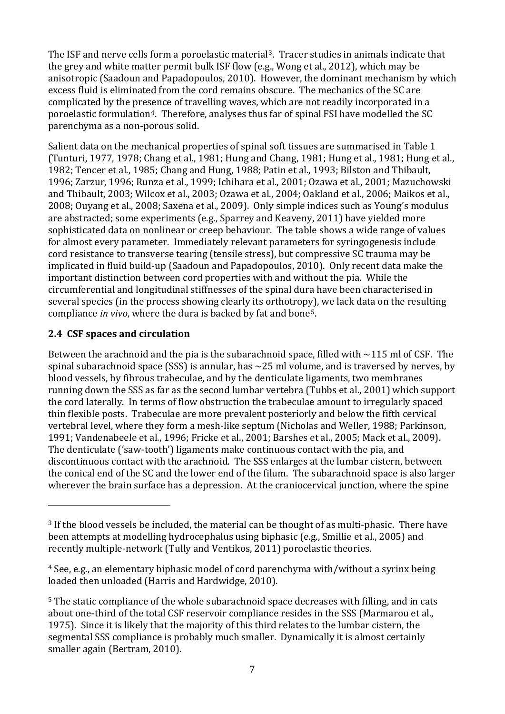The ISF and nerve cells form a poroelastic material<sup>[3](#page-6-0)</sup>. Tracer studies in animals indicate that the grey and white matter permit bulk ISF flow [\(e.g., Wong et al., 2012\)](#page-39-4), which may be anisotropic [\(Saadoun and Papadopoulos, 2010\)](#page-37-4). However, the dominant mechanism by which excess fluid is eliminated from the cord remains obscure. The mechanics of the SC are complicated by the presence of travelling waves, which are not readily incorporated in a poroelastic formulation[4.](#page-6-1) Therefore, analyses thus far of spinal FSI have modelled the SC parenchyma as a non-porous solid.

Salient data on the mechanical properties of spinal soft tissues are summarised in Table 1 [\(Tunturi, 1977,](#page-38-3) [1978;](#page-39-5) [Chang et al., 1981;](#page-31-3) [Hung and Chang, 1981;](#page-34-6) [Hung et al., 1981;](#page-34-7) [Hung et al.,](#page-34-8)  [1982;](#page-34-8) [Tencer et al., 1985;](#page-38-4) [Chang and Hung, 1988;](#page-31-4) [Patin et al., 1993;](#page-37-5) [Bilston and Thibault,](#page-31-5)  [1996;](#page-31-5) [Zarzur, 1996;](#page-39-6) [Runza et al., 1999;](#page-37-6) [Ichihara et al., 2001;](#page-34-9) [Ozawa et al., 2001;](#page-36-6) [Mazuchowski](#page-35-6)  [and Thibault, 2003;](#page-35-6) [Wilcox et al., 2003;](#page-39-7) [Ozawa et al., 2004;](#page-36-7) [Oakland et al., 2006;](#page-36-8) [Maikos et al.,](#page-35-7)  [2008;](#page-35-7) [Ouyang et al., 2008;](#page-36-9) [Saxena et al., 2009\)](#page-37-7). Only simple indices such as Young's modulus are abstracted; some experiments [\(e.g., Sparrey and Keaveny, 2011\)](#page-38-5) have yielded more sophisticated data on nonlinear or creep behaviour. The table shows a wide range of values for almost every parameter. Immediately relevant parameters for syringogenesis include cord resistance to transverse tearing (tensile stress), but compressive SC trauma may be implicated in fluid build-up [\(Saadoun and Papadopoulos, 2010\)](#page-37-4). Only recent data make the important distinction between cord properties with and without the pia. While the circumferential and longitudinal stiffnesses of the spinal dura have been characterised in several species (in the process showing clearly its orthotropy), we lack data on the resulting compliance *in vivo*, where the dura is backed by fat and bone[5](#page-6-2).

### **2.4 CSF spaces and circulation**

i<br>I

Between the arachnoid and the pia is the subarachnoid space, filled with  $\sim$ 115 ml of CSF. The spinal subarachnoid space (SSS) is annular, has  $\sim$ 25 ml volume, and is traversed by nerves, by blood vessels, by fibrous trabeculae, and by the denticulate ligaments, two membranes running down the SSS as far as the second lumbar vertebra [\(Tubbs et al., 2001\)](#page-38-6) which support the cord laterally. In terms of flow obstruction the trabeculae amount to irregularly spaced thin flexible posts. Trabeculae are more prevalent posteriorly and below the fifth cervical vertebral level, where they form a mesh-like septum [\(Nicholas and Weller, 1988;](#page-36-10) [Parkinson,](#page-37-8)  [1991;](#page-37-8) [Vandenabeele et al., 1996;](#page-39-8) [Fricke et al., 2001;](#page-32-6) [Barshes et al., 2005;](#page-30-4) [Mack et al., 2009\)](#page-35-8). The denticulate ('saw-tooth') ligaments make continuous contact with the pia, and discontinuous contact with the arachnoid. The SSS enlarges at the lumbar cistern, between the conical end of the SC and the lower end of the filum. The subarachnoid space is also larger wherever the brain surface has a depression. At the craniocervical junction, where the spine

<span id="page-6-0"></span><sup>&</sup>lt;sup>3</sup> If the blood vessels be included, the material can be thought of as multi-phasic. There have been attempts at modelling hydrocephalus using biphasic [\(e.g., Smillie et al., 2005\)](#page-38-7) and recently multiple-network [\(Tully and Ventikos, 2011\)](#page-38-0) poroelastic theories.

<span id="page-6-1"></span><sup>4</sup> See, e.g., an elementary biphasic model of cord parenchyma with/without a syrinx being loaded then unloaded [\(Harris and Hardwidge, 2010\)](#page-33-6).

<span id="page-6-2"></span><sup>5</sup> The static compliance of the whole subarachnoid space decreases with filling, and in cats about one-third of the total CSF reservoir compliance resides in the SSS [\(Marmarou et al.,](#page-35-9)  [1975\)](#page-35-9). Since it is likely that the majority of this third relates to the lumbar cistern, the segmental SSS compliance is probably much smaller. Dynamically it is almost certainly smaller again [\(Bertram, 2010\)](#page-30-5).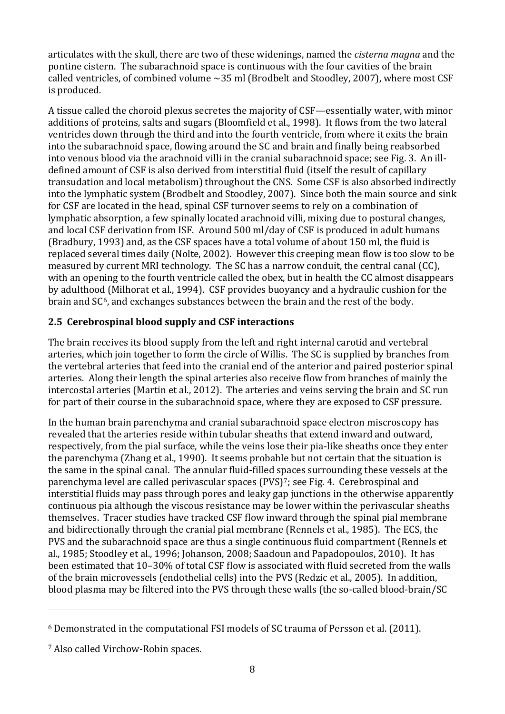articulates with the skull, there are two of these widenings, named the *cisterna magna* and the pontine cistern. The subarachnoid space is continuous with the four cavities of the brain called ventricles, of combined volume ~35 ml [\(Brodbelt and Stoodley, 2007\)](#page-31-6), where most CSF is produced.

A tissue called the choroid plexus secretes the majority of CSF—essentially water, with minor additions of proteins, salts and sugars [\(Bloomfield et al., 1998\)](#page-31-7). It flows from the two lateral ventricles down through the third and into the fourth ventricle, from where it exits the brain into the subarachnoid space, flowing around the SC and brain and finally being reabsorbed into venous blood via the arachnoid villi in the cranial subarachnoid space; see Fig. 3. An illdefined amount of CSF is also derived from interstitial fluid (itself the result of capillary transudation and local metabolism) throughout the CNS. Some CSF is also absorbed indirectly into the lymphatic system [\(Brodbelt and Stoodley, 2007\)](#page-31-6). Since both the main source and sink for CSF are located in the head, spinal CSF turnover seems to rely on a combination of lymphatic absorption, a few spinally located arachnoid villi, mixing due to postural changes, and local CSF derivation from ISF. Around 500 ml/day of CSF is produced in adult humans [\(Bradbury, 1993\)](#page-31-8) and, as the CSF spaces have a total volume of about 150 ml, the fluid is replaced several times daily [\(Nolte, 2002\)](#page-36-11). However this creeping mean flow is too slow to be measured by current MRI technology. The SC has a narrow conduit, the central canal (CC), with an opening to the fourth ventricle called the obex, but in health the CC almost disappears by adulthood [\(Milhorat et al., 1994\)](#page-36-12). CSF provides buoyancy and a hydraulic cushion for the brain and SC[6](#page-7-0), and exchanges substances between the brain and the rest of the body.

### **2.5 Cerebrospinal blood supply and CSF interactions**

The brain receives its blood supply from the left and right internal carotid and vertebral arteries, which join together to form the circle of Willis. The SC is supplied by branches from the vertebral arteries that feed into the cranial end of the anterior and paired posterior spinal arteries. Along their length the spinal arteries also receive flow from branches of mainly the intercostal arteries [\(Martin et al., 2012\)](#page-35-10). The arteries and veins serving the brain and SC run for part of their course in the subarachnoid space, where they are exposed to CSF pressure.

In the human brain parenchyma and cranial subarachnoid space electron miscroscopy has revealed that the arteries reside within tubular sheaths that extend inward and outward, respectively, from the pial surface, while the veins lose their pia-like sheaths once they enter the parenchyma [\(Zhang et al., 1990\)](#page-39-2). It seems probable but not certain that the situation is the same in the spinal canal. The annular fluid-filled spaces surrounding these vessels at the parenchyma level are called perivascular spaces (PVS)[7](#page-7-1); see Fig. 4. Cerebrospinal and interstitial fluids may pass through pores and leaky gap junctions in the otherwise apparently continuous pia although the viscous resistance may be lower within the perivascular sheaths themselves. Tracer studies have tracked CSF flow inward through the spinal pial membrane and bidirectionally through the cranial pial membrane [\(Rennels et al., 1985\)](#page-37-9). The ECS, the PVS and the subarachnoid space are thus a single continuous fluid compartment [\(Rennels et](#page-37-9)  [al., 1985;](#page-37-9) [Stoodley et al., 1996;](#page-38-8) [Johanson, 2008;](#page-34-5) [Saadoun and Papadopoulos, 2010\)](#page-37-4). It has been estimated that 10–30% of total CSF flow is associated with fluid secreted from the walls of the brain microvessels (endothelial cells) into the PVS [\(Redzic et al., 2005\)](#page-37-10). In addition, blood plasma may be filtered into the PVS through these walls (the so-called blood-brain/SC

i<br>I

<span id="page-7-0"></span><sup>6</sup> Demonstrated in the computational FSI models of SC trauma of Persson et al. [\(2011\)](#page-37-11).

<span id="page-7-1"></span><sup>7</sup> Also called Virchow-Robin spaces.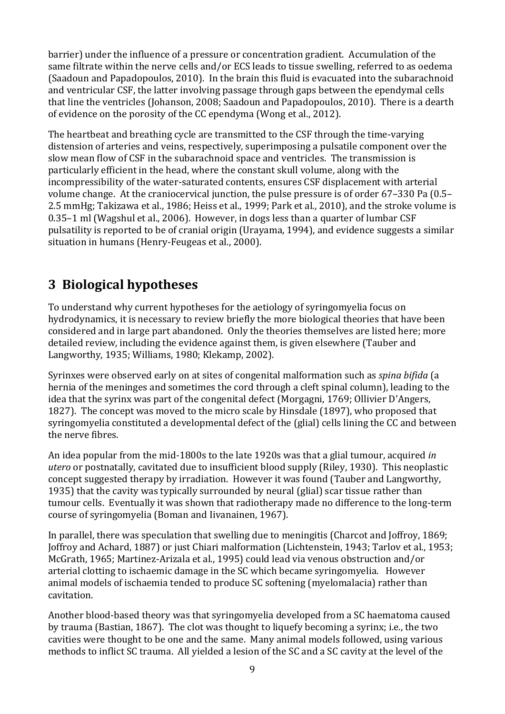barrier) under the influence of a pressure or concentration gradient. Accumulation of the same filtrate within the nerve cells and/or ECS leads to tissue swelling, referred to as oedema [\(Saadoun and Papadopoulos, 2010\)](#page-37-4). In the brain this fluid is evacuated into the subarachnoid and ventricular CSF, the latter involving passage through gaps between the ependymal cells that line the ventricles [\(Johanson, 2008;](#page-34-5) [Saadoun and Papadopoulos, 2010\)](#page-37-4). There is a dearth of evidence on the porosity of the CC ependyma [\(Wong et al., 2012\)](#page-39-4).

The heartbeat and breathing cycle are transmitted to the CSF through the time-varying distension of arteries and veins, respectively, superimposing a pulsatile component over the slow mean flow of CSF in the subarachnoid space and ventricles. The transmission is particularly efficient in the head, where the constant skull volume, along with the incompressibility of the water-saturated contents, ensures CSF displacement with arterial volume change. At the craniocervical junction, the pulse pressure is of order 67–330 Pa (0.5– 2.5 mmHg; [Takizawa et al., 1986;](#page-38-9) [Heiss et al., 1999;](#page-34-4) [Park et al., 2010\)](#page-36-13), and the stroke volume is 0.35–1 ml [\(Wagshul et al., 2006\)](#page-39-9). However, in dogs less than a quarter of lumbar CSF pulsatility is reported to be of cranial origin [\(Urayama, 1994\)](#page-39-10), and evidence suggests a similar situation in humans [\(Henry-Feugeas et al., 2000\)](#page-34-10).

# **3 Biological hypotheses**

To understand why current hypotheses for the aetiology of syringomyelia focus on hydrodynamics, it is necessary to review briefly the more biological theories that have been considered and in large part abandoned. Only the theories themselves are listed here; more detailed review, including the evidence against them, is given elsewhere [\(Tauber and](#page-38-10)  [Langworthy, 1935;](#page-38-10) [Williams, 1980;](#page-39-11) [Klekamp, 2002\)](#page-34-3).

Syrinxes were observed early on at sites of congenital malformation such as *spina bifida* (a hernia of the meninges and sometimes the cord through a cleft spinal column), leading to the idea that the syrinx was part of the congenital defect [\(Morgagni, 1769;](#page-36-14) Ollivier D['Angers,](#page-36-15)  [1827\)](#page-36-15). The concept was moved to the micro scale by Hinsdale [\(1897\)](#page-34-11), who proposed that syringomyelia constituted a developmental defect of the (glial) cells lining the CC and between the nerve fibres.

An idea popular from the mid-1800s to the late 1920s was that a glial tumour, acquired *in utero* or postnatally, cavitated due to insufficient blood supply [\(Riley, 1930\)](#page-37-12). This neoplastic concept suggested therapy by irradiation. However it was found [\(Tauber and Langworthy,](#page-38-10)  [1935\)](#page-38-10) that the cavity was typically surrounded by neural (glial) scar tissue rather than tumour cells. Eventually it was shown that radiotherapy made no difference to the long-term course of syringomyelia [\(Boman and Iivanainen, 1967\)](#page-31-1).

In parallel, there was speculation that swelling due to meningitis [\(Charcot and Joffroy, 1869;](#page-32-7) [Joffroy and Achard, 1887\)](#page-34-12) or just Chiari malformation [\(Lichtenstein, 1943;](#page-35-11) [Tarlov et al., 1953;](#page-38-11) [McGrath, 1965;](#page-35-12) [Martinez-Arizala et al., 1995\)](#page-35-13) could lead via venous obstruction and/or arterial clotting to ischaemic damage in the SC which became syringomyelia. However animal models of ischaemia tended to produce SC softening (myelomalacia) rather than cavitation.

Another blood-based theory was that syringomyelia developed from a SC haematoma caused by trauma [\(Bastian, 1867\)](#page-30-6). The clot was thought to liquefy becoming a syrinx; i.e., the two cavities were thought to be one and the same. Many animal models followed, using various methods to inflict SC trauma. All yielded a lesion of the SC and a SC cavity at the level of the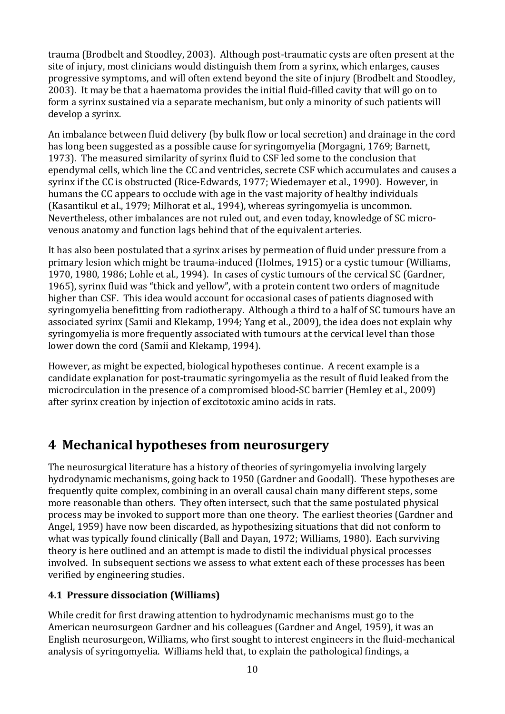trauma [\(Brodbelt and Stoodley, 2003\)](#page-31-0). Although post-traumatic cysts are often present at the site of injury, most clinicians would distinguish them from a syrinx, which enlarges, causes progressive symptoms, and will often extend beyond the site of injury [\(Brodbelt and Stoodley,](#page-31-0)  [2003\)](#page-31-0). It may be that a haematoma provides the initial fluid-filled cavity that will go on to form a syrinx sustained via a separate mechanism, but only a minority of such patients will develop a syrinx.

An imbalance between fluid delivery (by bulk flow or local secretion) and drainage in the cord has long been suggested as a possible cause for syringomyelia [\(Morgagni, 1769;](#page-36-14) [Barnett,](#page-30-7)  [1973\)](#page-30-7). The measured similarity of syrinx fluid to CSF led some to the conclusion that ependymal cells, which line the CC and ventricles, secrete CSF which accumulates and causes a syrinx if the CC is obstructed [\(Rice-Edwards, 1977;](#page-37-13) [Wiedemayer et al., 1990\)](#page-39-12). However, in humans the CC appears to occlude with age in the vast majority of healthy individuals [\(Kasantikul et al., 1979;](#page-34-13) [Milhorat et al., 1994\)](#page-36-12), whereas syringomyelia is uncommon. Nevertheless, other imbalances are not ruled out, and even today, knowledge of SC microvenous anatomy and function lags behind that of the equivalent arteries.

It has also been postulated that a syrinx arises by permeation of fluid under pressure from a primary lesion which might be trauma-induced [\(Holmes, 1915\)](#page-34-14) or a cystic tumour [\(Williams,](#page-39-13)  [1970,](#page-39-13) [1980,](#page-39-11) [1986;](#page-39-14) Lohle [et al., 1994\)](#page-35-14). In cases of cystic tumours of the cervical SC [\(Gardner,](#page-32-8)  [1965\)](#page-32-8), syrinx fluid was "thick and yellow", with a protein content two orders of magnitude higher than CSF. This idea would account for occasional cases of patients diagnosed with syringomyelia benefitting from radiotherapy. Although a third to a half of SC tumours have an associated syrinx [\(Samii and Klekamp, 1994;](#page-37-14) [Yang et al., 2009\)](#page-39-15), the idea does not explain why syringomyelia is more frequently associated with tumours at the cervical level than those lower down the cord [\(Samii and Klekamp, 1994\)](#page-37-14).

However, as might be expected, biological hypotheses continue. A recent example is a candidate explanation for post-traumatic syringomyelia as the result of fluid leaked from the microcirculation in the presence of a compromised blood-SC barrier [\(Hemley et al., 2009\)](#page-34-15) after syrinx creation by injection of excitotoxic amino acids in rats.

# **4 Mechanical hypotheses from neurosurgery**

The neurosurgical literature has a history of theories of syringomyelia involving largely hydrodynamic mechanisms, going back to 1950 [\(Gardner and Goodall\)](#page-33-7). These hypotheses are frequently quite complex, combining in an overall causal chain many different steps, some more reasonable than others. They often intersect, such that the same postulated physical process may be invoked to support more than one theory. The earliest theories [\(Gardner and](#page-33-8)  [Angel, 1959\)](#page-33-8) have now been discarded, as hypothesizing situations that did not conform to what was typically found clinically [\(Ball and Dayan, 1972;](#page-30-8) [Williams, 1980\)](#page-39-11). Each surviving theory is here outlined and an attempt is made to distil the individual physical processes involved. In subsequent sections we assess to what extent each of these processes has been verified by engineering studies.

# **4.1 Pressure dissociation (Williams)**

While credit for first drawing attention to hydrodynamic mechanisms must go to the American neurosurgeon Gardner and his colleagues [\(Gardner and Angel, 1959\)](#page-33-8), it was an English neurosurgeon, Williams, who first sought to interest engineers in the fluid-mechanical analysis of syringomyelia. Williams held that, to explain the pathological findings, a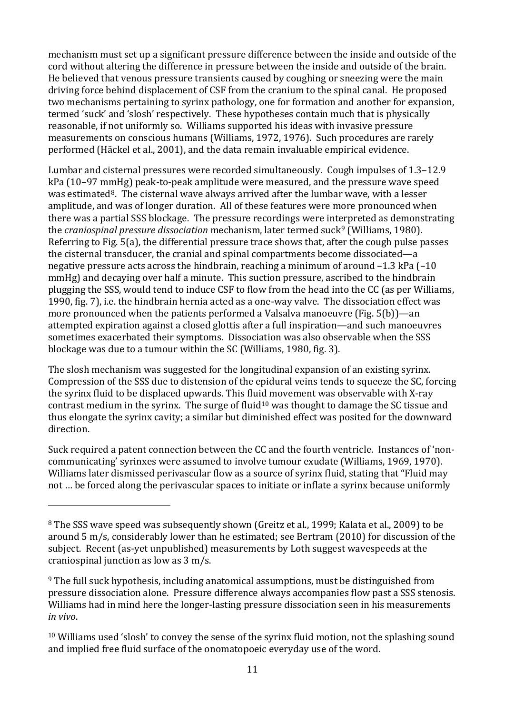mechanism must set up a significant pressure difference between the inside and outside of the cord without altering the difference in pressure between the inside and outside of the brain. He believed that venous pressure transients caused by coughing or sneezing were the main driving force behind displacement of CSF from the cranium to the spinal canal. He proposed two mechanisms pertaining to syrinx pathology, one for formation and another for expansion, termed 'suck' and 'slosh' respectively. These hypotheses contain much that is physically reasonable, if not uniformly so. Williams supported his ideas with invasive pressure measurements on conscious humans [\(Williams, 1972,](#page-39-16) [1976\)](#page-39-1). Such procedures are rarely performed [\(Häckel et al., 2001\)](#page-33-9), and the data remain invaluable empirical evidence.

Lumbar and cisternal pressures were recorded simultaneously. Cough impulses of 1.3–12.9 kPa (10–97 mmHg) peak-to-peak amplitude were measured, and the pressure wave speed was estimated<sup>[8](#page-10-0)</sup>. The cisternal wave always arrived after the lumbar wave, with a lesser amplitude, and was of longer duration. All of these features were more pronounced when there was a partial SSS blockage. The pressure recordings were interpreted as demonstrating the *craniospinal pressure dissociation* mechanism, later termed suck[9](#page-10-1) [\(Williams, 1980\)](#page-39-11). Referring to Fig. 5(a), the differential pressure trace shows that, after the cough pulse passes the cisternal transducer, the cranial and spinal compartments become dissociated—a negative pressure acts across the hindbrain, reaching a minimum of around –1.3 kPa (–10 mmHg) and decaying over half a minute. This suction pressure, ascribed to the hindbrain plugging the SSS, would tend to induce CSF to flow from the head into the CC [\(as per Williams,](#page-39-17)  [1990, fig. 7\)](#page-39-17), i.e. the hindbrain hernia acted as a one-way valve. The dissociation effect was more pronounced when the patients performed a Valsalva manoeuvre (Fig. 5(b))—an attempted expiration against a closed glottis after a full inspiration—and such manoeuvres sometimes exacerbated their symptoms. Dissociation was also observable when the SSS blockage was due to a tumour within the SC [\(Williams, 1980, fig. 3\)](#page-39-11).

The slosh mechanism was suggested for the longitudinal expansion of an existing syrinx. Compression of the SSS due to distension of the epidural veins tends to squeeze the SC, forcing the syrinx fluid to be displaced upwards. This fluid movement was observable with X-ray contrast medium in the syrinx. The surge of fluid<sup>[10](#page-10-2)</sup> was thought to damage the SC tissue and thus elongate the syrinx cavity; a similar but diminished effect was posited for the downward direction.

Suck required a patent connection between the CC and the fourth ventricle. Instances of 'noncommunicating' syrinxes were assumed to involve tumour exudate [\(Williams, 1969,](#page-39-18) [1970\)](#page-39-13). Williams later dismissed perivascular flow as a source of syrinx fluid, stating that "Fluid may not … be forced along the perivascular spaces to initiate or inflate a syrinx because uniformly

i<br>I

<span id="page-10-0"></span><sup>8</sup> The SSS wave speed was subsequently shown [\(Greitz et al., 1999;](#page-33-10) [Kalata et al., 2009\)](#page-34-16) to be around 5 m/s, considerably lower than he estimated; see Bertram [\(2010\)](#page-30-5) for discussion of the subject. Recent (as-yet unpublished) measurements by Loth suggest wavespeeds at the craniospinal junction as low as 3 m/s.

<span id="page-10-1"></span><sup>&</sup>lt;sup>9</sup> The full suck hypothesis, including anatomical assumptions, must be distinguished from pressure dissociation alone. Pressure difference always accompanies flow past a SSS stenosis. Williams had in mind here the longer-lasting pressure dissociation seen in his measurements *in vivo*.

<span id="page-10-2"></span><sup>10</sup> Williams used 'slosh' to convey the sense of the syrinx fluid motion, not the splashing sound and implied free fluid surface of the onomatopoeic everyday use of the word.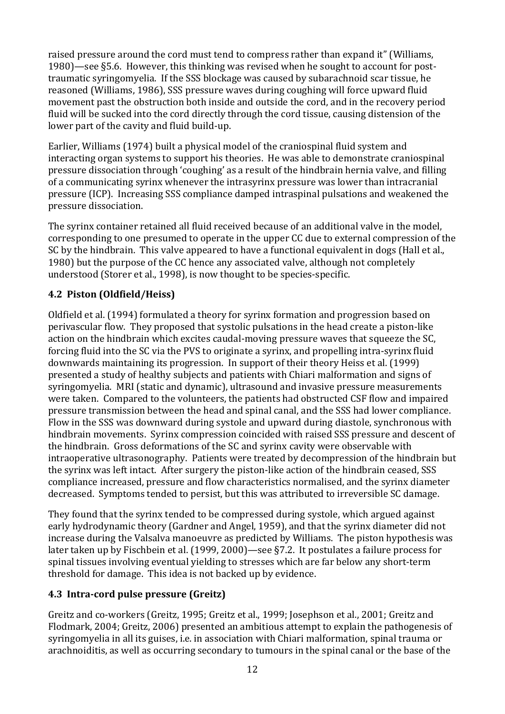raised pressure around the cord must tend to compress rather than expand it" [\(Williams,](#page-39-11)  [1980\)](#page-39-11)—see §5.6. However, this thinking was revised when he sought to account for posttraumatic syringomyelia. If the SSS blockage was caused by subarachnoid scar tissue, he reasoned [\(Williams, 1986\)](#page-39-14), SSS pressure waves during coughing will force upward fluid movement past the obstruction both inside and outside the cord, and in the recovery period fluid will be sucked into the cord directly through the cord tissue, causing distension of the lower part of the cavity and fluid build-up.

Earlier, Williams [\(1974\)](#page-39-19) built a physical model of the craniospinal fluid system and interacting organ systems to support his theories. He was able to demonstrate craniospinal pressure dissociation through 'coughing' as a result of the hindbrain hernia valve, and filling of a communicating syrinx whenever the intrasyrinx pressure was lower than intracranial pressure (ICP). Increasing SSS compliance damped intraspinal pulsations and weakened the pressure dissociation.

The syrinx container retained all fluid received because of an additional valve in the model, corresponding to one presumed to operate in the upper CC due to external compression of the SC by the hindbrain. This valve appeared to have a functional equivalent in dogs [\(Hall et al.,](#page-33-2)  [1980\)](#page-33-2) but the purpose of the CC hence any associated valve, although not completely understood [\(Storer et al., 1998\)](#page-38-12), is now thought to be species-specific.

# **4.2 Piston (Oldfield/Heiss)**

Oldfield et al. [\(1994\)](#page-36-16) formulated a theory for syrinx formation and progression based on perivascular flow. They proposed that systolic pulsations in the head create a piston-like action on the hindbrain which excites caudal-moving pressure waves that squeeze the SC. forcing fluid into the SC via the PVS to originate a syrinx, and propelling intra-syrinx fluid downwards maintaining its progression. In support of their theory Heiss et al. [\(1999\)](#page-34-4) presented a study of healthy subjects and patients with Chiari malformation and signs of syringomyelia. MRI (static and dynamic), ultrasound and invasive pressure measurements were taken. Compared to the volunteers, the patients had obstructed CSF flow and impaired pressure transmission between the head and spinal canal, and the SSS had lower compliance. Flow in the SSS was downward during systole and upward during diastole, synchronous with hindbrain movements. Syrinx compression coincided with raised SSS pressure and descent of the hindbrain. Gross deformations of the SC and syrinx cavity were observable with intraoperative ultrasonography. Patients were treated by decompression of the hindbrain but the syrinx was left intact. After surgery the piston-like action of the hindbrain ceased, SSS compliance increased, pressure and flow characteristics normalised, and the syrinx diameter decreased. Symptoms tended to persist, but this was attributed to irreversible SC damage.

They found that the syrinx tended to be compressed during systole, which argued against early hydrodynamic theory [\(Gardner and Angel, 1959\)](#page-33-8), and that the syrinx diameter did not increase during the Valsalva manoeuvre as predicted by Williams. The piston hypothesis was later taken up by Fischbein et al. [\(1999,](#page-32-9) [2000\)](#page-32-10)—see §7.2. It postulates a failure process for spinal tissues involving eventual yielding to stresses which are far below any short-term threshold for damage. This idea is not backed up by evidence.

# **4.3 Intra-cord pulse pressure (Greitz)**

Greitz and co-workers [\(Greitz, 1995;](#page-33-11) [Greitz et al., 1999;](#page-33-10) [Josephson et al., 2001;](#page-34-17) [Greitz and](#page-33-12)  [Flodmark, 2004;](#page-33-12) [Greitz, 2006\)](#page-33-13) presented an ambitious attempt to explain the pathogenesis of syringomyelia in all its guises, i.e. in association with Chiari malformation, spinal trauma or arachnoiditis, as well as occurring secondary to tumours in the spinal canal or the base of the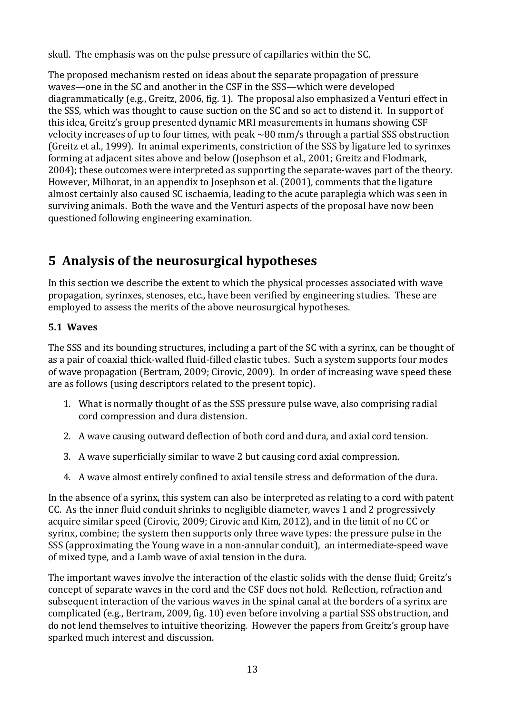skull. The emphasis was on the pulse pressure of capillaries within the SC.

The proposed mechanism rested on ideas about the separate propagation of pressure waves—one in the SC and another in the CSF in the SSS—which were developed diagrammatically [\(e.g., Greitz, 2006, fig. 1\)](#page-33-13). The proposal also emphasized a Venturi effect in the SSS, which was thought to cause suction on the SC and so act to distend it. In support of this idea, Greitz's group presented dynamic MRI measurements in humans showing CSF velocity increases of up to four times, with peak ~80 mm/s through a partial SSS obstruction [\(Greitz et al., 1999\)](#page-33-10). In animal experiments, constriction of the SSS by ligature led to syrinxes forming at adjacent sites above and below [\(Josephson et al., 2001;](#page-34-17) [Greitz and Flodmark,](#page-33-12)  [2004\)](#page-33-12); these outcomes were interpreted as supporting the separate-waves part of the theory. However, Milhorat, in an appendix to Josephson et al. [\(2001\)](#page-34-17), comments that the ligature almost certainly also caused SC ischaemia, leading to the acute paraplegia which was seen in surviving animals. Both the wave and the Venturi aspects of the proposal have now been questioned following engineering examination.

# **5 Analysis of the neurosurgical hypotheses**

In this section we describe the extent to which the physical processes associated with wave propagation, syrinxes, stenoses, etc., have been verified by engineering studies. These are employed to assess the merits of the above neurosurgical hypotheses.

# **5.1 Waves**

The SSS and its bounding structures, including a part of the SC with a syrinx, can be thought of as a pair of coaxial thick-walled fluid-filled elastic tubes. Such a system supports four modes of wave propagation [\(Bertram, 2009;](#page-30-9) [Cirovic, 2009\)](#page-32-11). In order of increasing wave speed these are as follows (using descriptors related to the present topic).

- 1. What is normally thought of as the SSS pressure pulse wave, also comprising radial cord compression and dura distension.
- 2. A wave causing outward deflection of both cord and dura, and axial cord tension.
- 3. A wave superficially similar to wave 2 but causing cord axial compression.
- 4. A wave almost entirely confined to axial tensile stress and deformation of the dura.

In the absence of a syrinx, this system can also be interpreted as relating to a cord with patent CC. As the inner fluid conduit shrinks to negligible diameter, waves 1 and 2 progressively acquire similar speed [\(Cirovic, 2009;](#page-32-11) [Cirovic and Kim, 2012\)](#page-32-12), and in the limit of no CC or syrinx, combine; the system then supports only three wave types: the pressure pulse in the SSS (approximating the Young wave in a non-annular conduit), an intermediate-speed wave of mixed type, and a Lamb wave of axial tension in the dura.

The important waves involve the interaction of the elastic solids with the dense fluid; Greitz's concept of separate waves in the cord and the CSF does not hold. Reflection, refraction and subsequent interaction of the various waves in the spinal canal at the borders of a syrinx are complicated [\(e.g., Bertram, 2009, fig. 10\)](#page-30-9) even before involving a partial SSS obstruction, and do not lend themselves to intuitive theorizing. However the papers from Greitz's group have sparked much interest and discussion.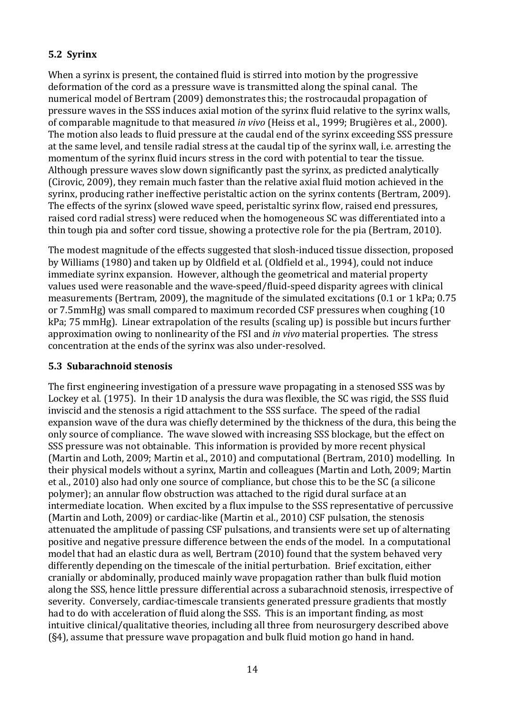#### **5.2 Syrinx**

When a syrinx is present, the contained fluid is stirred into motion by the progressive deformation of the cord as a pressure wave is transmitted along the spinal canal. The numerical model of Bertram [\(2009\)](#page-30-9) demonstrates this; the rostrocaudal propagation of pressure waves in the SSS induces axial motion of the syrinx fluid relative to the syrinx walls, of comparable magnitude to that measured *in vivo* [\(Heiss et al., 1999;](#page-34-4) [Brugières et al., 2000\)](#page-31-9). The motion also leads to fluid pressure at the caudal end of the syrinx exceeding SSS pressure at the same level, and tensile radial stress at the caudal tip of the syrinx wall, i.e. arresting the momentum of the syrinx fluid incurs stress in the cord with potential to tear the tissue. Although pressure waves slow down significantly past the syrinx, as predicted analytically [\(Cirovic, 2009\)](#page-32-11), they remain much faster than the relative axial fluid motion achieved in the syrinx, producing rather ineffective peristaltic action on the syrinx contents [\(Bertram, 2009\)](#page-30-9). The effects of the syrinx (slowed wave speed, peristaltic syrinx flow, raised end pressures, raised cord radial stress) were reduced when the homogeneous SC was differentiated into a thin tough pia and softer cord tissue, showing a protective role for the pia [\(Bertram, 2010\)](#page-30-5).

The modest magnitude of the effects suggested that slosh-induced tissue dissection, proposed by [Williams \(1980\)](#page-39-11) and taken up by Oldfield et al. [\(Oldfield et al., 1994\)](#page-36-16), could not induce immediate syrinx expansion. However, although the geometrical and material property values used were reasonable and the wave-speed/fluid-speed disparity agrees with clinical measurements [\(Bertram, 2009\)](#page-30-9), the magnitude of the simulated excitations (0.1 or 1 kPa; 0.75 or 7.5mmHg) was small compared to maximum recorded CSF pressures when coughing (10 kPa; 75 mmHg). Linear extrapolation of the results (scaling up) is possible but incurs further approximation owing to nonlinearity of the FSI and *in vivo* material properties. The stress concentration at the ends of the syrinx was also under-resolved.

#### **5.3 Subarachnoid stenosis**

The first engineering investigation of a pressure wave propagating in a stenosed SSS was by Lockey et al. [\(1975\)](#page-35-15). In their 1D analysis the dura was flexible, the SC was rigid, the SSS fluid inviscid and the stenosis a rigid attachment to the SSS surface. The speed of the radial expansion wave of the dura was chiefly determined by the thickness of the dura, this being the only source of compliance. The wave slowed with increasing SSS blockage, but the effect on SSS pressure was not obtainable. This information is provided by more recent physical [\(Martin and Loth, 2009;](#page-35-16) [Martin et al., 2010\)](#page-35-17) and computational [\(Bertram, 2010\)](#page-30-5) modelling. In their physical models without a syrinx, Martin and colleagues [\(Martin and Loth, 2009;](#page-35-16) [Martin](#page-35-17)  [et al., 2010\)](#page-35-17) also had only one source of compliance, but chose this to be the SC (a silicone polymer); an annular flow obstruction was attached to the rigid dural surface at an intermediate location. When excited by a flux impulse to the SSS representative of percussive [\(Martin and Loth, 2009\)](#page-35-16) or cardiac-like [\(Martin et al., 2010\)](#page-35-17) CSF pulsation, the stenosis attenuated the amplitude of passing CSF pulsations, and transients were set up of alternating positive and negative pressure difference between the ends of the model. In a computational model that had an elastic dura as well, Bertram [\(2010\)](#page-30-5) found that the system behaved very differently depending on the timescale of the initial perturbation. Brief excitation, either cranially or abdominally, produced mainly wave propagation rather than bulk fluid motion along the SSS, hence little pressure differential across a subarachnoid stenosis, irrespective of severity. Conversely, cardiac-timescale transients generated pressure gradients that mostly had to do with acceleration of fluid along the SSS. This is an important finding, as most intuitive clinical/qualitative theories, including all three from neurosurgery described above (§4), assume that pressure wave propagation and bulk fluid motion go hand in hand.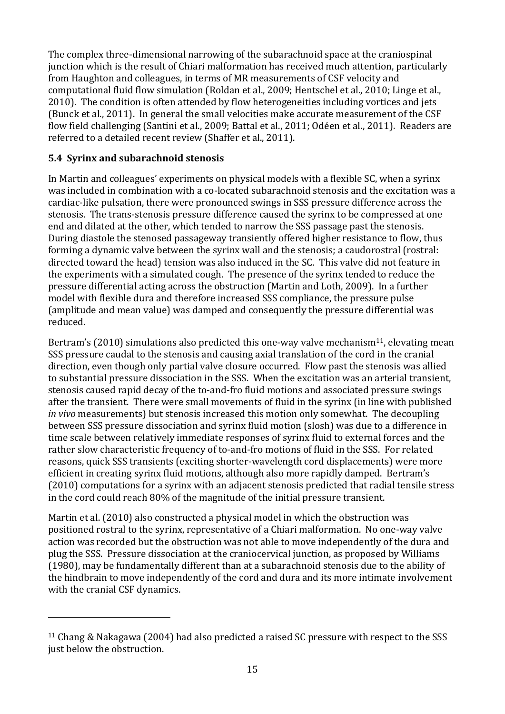The complex three-dimensional narrowing of the subarachnoid space at the craniospinal junction which is the result of Chiari malformation has received much attention, particularly from Haughton and colleagues, in terms of MR measurements of CSF velocity and computational fluid flow simulation [\(Roldan et al., 2009;](#page-37-15) Hentschel [et al., 2010;](#page-34-18) [Linge et al.,](#page-35-18)  [2010\)](#page-35-18). The condition is often attended by flow heterogeneities including vortices and jets [\(Bunck et al., 2011\)](#page-31-10). In general the small velocities make accurate measurement of the CSF flow field challenging [\(Santini et al., 2009;](#page-37-16) [Battal et al., 2011;](#page-30-10) [Odéen et al., 2011\)](#page-36-17). Readers are referred to a detailed recent review [\(Shaffer et al., 2011\)](#page-38-13).

# **5.4 Syrinx and subarachnoid stenosis**

i<br>I

In Martin and colleagues' experiments on physical models with a flexible SC, when a syrinx was included in combination with a co-located subarachnoid stenosis and the excitation was a cardiac-like pulsation, there were pronounced swings in SSS pressure difference across the stenosis. The trans-stenosis pressure difference caused the syrinx to be compressed at one end and dilated at the other, which tended to narrow the SSS passage past the stenosis. During diastole the stenosed passageway transiently offered higher resistance to flow, thus forming a dynamic valve between the syrinx wall and the stenosis; a caudorostral (rostral: directed toward the head) tension was also induced in the SC. This valve did not feature in the experiments with a simulated cough. The presence of the syrinx tended to reduce the pressure differential acting across the obstruction [\(Martin and Loth, 2009\)](#page-35-16). In a further model with flexible dura and therefore increased SSS compliance, the pressure pulse (amplitude and mean value) was damped and consequently the pressure differential was reduced.

Bertram's [\(2010\)](#page-30-5) simulations also predicted this one-way valve mechanism<sup>11</sup>, elevating mean SSS pressure caudal to the stenosis and causing axial translation of the cord in the cranial direction, even though only partial valve closure occurred. Flow past the stenosis was allied to substantial pressure dissociation in the SSS. When the excitation was an arterial transient, stenosis caused rapid decay of the to-and-fro fluid motions and associated pressure swings after the transient. There were small movements of fluid in the syrinx (in line with published *in vivo* measurements) but stenosis increased this motion only somewhat. The decoupling between SSS pressure dissociation and syrinx fluid motion (slosh) was due to a difference in time scale between relatively immediate responses of syrinx fluid to external forces and the rather slow characteristic frequency of to-and-fro motions of fluid in the SSS. For related reasons, quick SSS transients (exciting shorter-wavelength cord displacements) were more efficient in creating syrinx fluid motions, although also more rapidly damped. Bertram's [\(2010\)](#page-30-5) computations for a syrinx with an adjacent stenosis predicted that radial tensile stress in the cord could reach 80% of the magnitude of the initial pressure transient.

Martin et al. [\(2010\)](#page-35-17) also constructed a physical model in which the obstruction was positioned rostral to the syrinx, representative of a Chiari malformation. No one-way valve action was recorded but the obstruction was not able to move independently of the dura and plug the SSS. Pressure dissociation at the craniocervical junction, as proposed by [Williams](#page-39-11)  [\(1980\)](#page-39-11), may be fundamentally different than at a subarachnoid stenosis due to the ability of the hindbrain to move independently of the cord and dura and its more intimate involvement with the cranial CSF dynamics.

<span id="page-14-0"></span><sup>11</sup> Chang & Nakagawa [\(2004\)](#page-31-11) had also predicted a raised SC pressure with respect to the SSS just below the obstruction.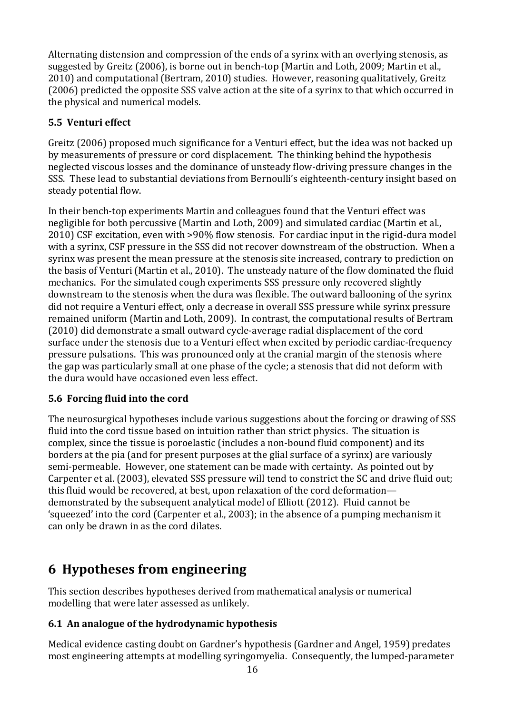Alternating distension and compression of the ends of a syrinx with an overlying stenosis, as suggested by Greitz [\(2006\)](#page-33-13), is borne out in bench-top [\(Martin and Loth, 2009;](#page-35-16) [Martin et al.,](#page-35-17)  [2010\)](#page-35-17) and computational [\(Bertram, 2010\)](#page-30-5) studies. However, reasoning qualitatively, Greitz [\(2006\)](#page-33-13) predicted the opposite SSS valve action at the site of a syrinx to that which occurred in the physical and numerical models.

## **5.5 Venturi effect**

Greitz [\(2006\)](#page-33-13) proposed much significance for a Venturi effect, but the idea was not backed up by measurements of pressure or cord displacement. The thinking behind the hypothesis neglected viscous losses and the dominance of unsteady flow-driving pressure changes in the SSS. These lead to substantial deviations from Bernoulli's eighteenth-century insight based on steady potential flow.

In their bench-top experiments Martin and colleagues found that the Venturi effect was negligible for both percussive [\(Martin and Loth, 2009\)](#page-35-16) and simulated cardiac [\(Martin et al.,](#page-35-17)  [2010\)](#page-35-17) CSF excitation, even with >90% flow stenosis. For cardiac input in the rigid-dura model with a syrinx, CSF pressure in the SSS did not recover downstream of the obstruction. When a syrinx was present the mean pressure at the stenosis site increased, contrary to prediction on the basis of Venturi [\(Martin et al., 2010\)](#page-35-17). The unsteady nature of the flow dominated the fluid mechanics. For the simulated cough experiments SSS pressure only recovered slightly downstream to the stenosis when the dura was flexible. The outward ballooning of the syrinx did not require a Venturi effect, only a decrease in overall SSS pressure while syrinx pressure remained uniform [\(Martin and Loth, 2009\)](#page-35-16). In contrast, the computational results of Bertram [\(2010\)](#page-30-5) did demonstrate a small outward cycle-average radial displacement of the cord surface under the stenosis due to a Venturi effect when excited by periodic cardiac-frequency pressure pulsations. This was pronounced only at the cranial margin of the stenosis where the gap was particularly small at one phase of the cycle; a stenosis that did not deform with the dura would have occasioned even less effect.

#### **5.6 Forcing fluid into the cord**

The neurosurgical hypotheses include various suggestions about the forcing or drawing of SSS fluid into the cord tissue based on intuition rather than strict physics. The situation is complex, since the tissue is poroelastic (includes a non-bound fluid component) and its borders at the pia (and for present purposes at the glial surface of a syrinx) are variously semi-permeable. However, one statement can be made with certainty. As pointed out by Carpenter et al. [\(2003\)](#page-31-12), elevated SSS pressure will tend to constrict the SC and drive fluid out; this fluid would be recovered, at best, upon relaxation of the cord deformation demonstrated by the subsequent analytical model of Elliott [\(2012\)](#page-32-13). Fluid cannot be 'squeezed' into the cord [\(Carpenter et al., 2003\)](#page-31-12); in the absence of a pumping mechanism it can only be drawn in as the cord dilates.

# **6 Hypotheses from engineering**

This section describes hypotheses derived from mathematical analysis or numerical modelling that were later assessed as unlikely.

#### **6.1 An analogue of the hydrodynamic hypothesis**

Medical evidence casting doubt on Gardner's hypothesis [\(Gardner and Angel, 1959\)](#page-33-8) predates most engineering attempts at modelling syringomyelia. Consequently, the lumped-parameter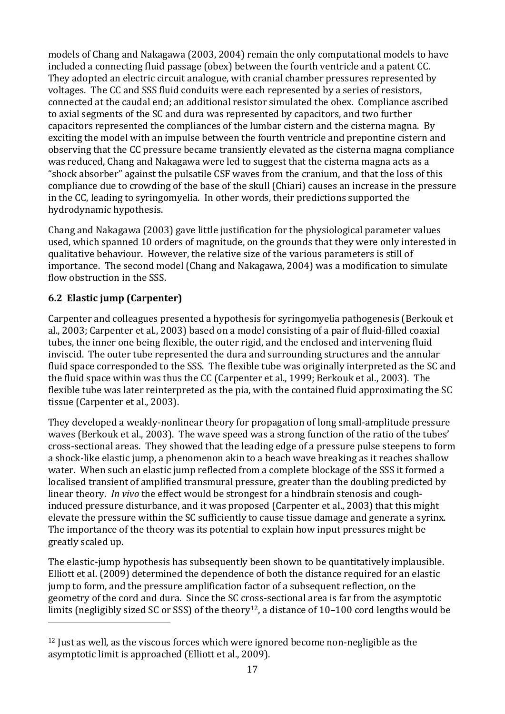models of Chang and Nakagawa [\(2003,](#page-31-13) [2004\)](#page-31-11) remain the only computational models to have included a connecting fluid passage (obex) between the fourth ventricle and a patent CC. They adopted an electric circuit analogue, with cranial chamber pressures represented by voltages. The CC and SSS fluid conduits were each represented by a series of resistors, connected at the caudal end; an additional resistor simulated the obex. Compliance ascribed to axial segments of the SC and dura was represented by capacitors, and two further capacitors represented the compliances of the lumbar cistern and the cisterna magna. By exciting the model with an impulse between the fourth ventricle and prepontine cistern and observing that the CC pressure became transiently elevated as the cisterna magna compliance was reduced, Chang and Nakagawa were led to suggest that the cisterna magna acts as a "shock absorber" against the pulsatile CSF waves from the cranium, and that the loss of this compliance due to crowding of the base of the skull (Chiari) causes an increase in the pressure in the CC, leading to syringomyelia. In other words, their predictions supported the hydrodynamic hypothesis.

Chang and Nakagawa [\(2003\)](#page-31-13) gave little justification for the physiological parameter values used, which spanned 10 orders of magnitude, on the grounds that they were only interested in qualitative behaviour. However, the relative size of the various parameters is still of importance. The second model [\(Chang and Nakagawa, 2004\)](#page-31-11) was a modification to simulate flow obstruction in the SSS.

### **6.2 Elastic jump (Carpenter)**

i<br>I

Carpenter and colleagues presented a hypothesis for syringomyelia pathogenesis [\(Berkouk et](#page-30-11)  [al., 2003;](#page-30-11) [Carpenter et al., 2003\)](#page-31-12) based on a model consisting of a pair of fluid-filled coaxial tubes, the inner one being flexible, the outer rigid, and the enclosed and intervening fluid inviscid. The outer tube represented the dura and surrounding structures and the annular fluid space corresponded to the SSS. The flexible tube was originally interpreted as the SC and the fluid space within was thus the CC [\(Carpenter et al., 1999;](#page-31-14) [Berkouk et al., 2003\)](#page-30-11). The flexible tube was later reinterpreted as the pia, with the contained fluid approximating the SC tissue [\(Carpenter et al., 2003\)](#page-31-12).

They developed a weakly-nonlinear theory for propagation of long small-amplitude pressure waves [\(Berkouk et al., 2003\)](#page-30-11). The wave speed was a strong function of the ratio of the tubes' cross-sectional areas. They showed that the leading edge of a pressure pulse steepens to form a shock-like elastic jump, a phenomenon akin to a beach wave breaking as it reaches shallow water. When such an elastic jump reflected from a complete blockage of the SSS it formed a localised transient of amplified transmural pressure, greater than the doubling predicted by linear theory. *In vivo* the effect would be strongest for a hindbrain stenosis and coughinduced pressure disturbance, and it was proposed [\(Carpenter et al., 2003\)](#page-31-12) that this might elevate the pressure within the SC sufficiently to cause tissue damage and generate a syrinx. The importance of the theory was its potential to explain how input pressures might be greatly scaled up.

The elastic-jump hypothesis has subsequently been shown to be quantitatively implausible. Elliott et al. [\(2009\)](#page-32-14) determined the dependence of both the distance required for an elastic jump to form, and the pressure amplification factor of a subsequent reflection, on the geometry of the cord and dura. Since the SC cross-sectional area is far from the asymptotic limits (negligibly sized SC or SSS) of the theory<sup>12</sup>, a distance of  $10-100$  cord lengths would be

<span id="page-16-0"></span><sup>&</sup>lt;sup>12</sup> Just as well, as the viscous forces which were ignored become non-negligible as the asymptotic limit is approached [\(Elliott et al., 2009\)](#page-32-14).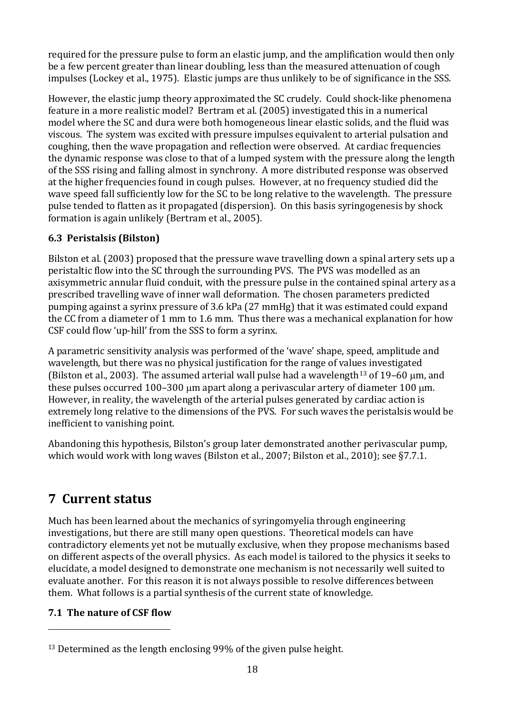required for the pressure pulse to form an elastic jump, and the amplification would then only be a few percent greater than linear doubling, less than the measured attenuation of cough impulses [\(Lockey et al., 1975\)](#page-35-15). Elastic jumps are thus unlikely to be of significance in the SSS.

However, the elastic jump theory approximated the SC crudely. Could shock-like phenomena feature in a more realistic model? Bertram et al. [\(2005\)](#page-30-12) investigated this in a numerical model where the SC and dura were both homogeneous linear elastic solids, and the fluid was viscous. The system was excited with pressure impulses equivalent to arterial pulsation and coughing, then the wave propagation and reflection were observed. At cardiac frequencies the dynamic response was close to that of a lumped system with the pressure along the length of the SSS rising and falling almost in synchrony. A more distributed response was observed at the higher frequencies found in cough pulses. However, at no frequency studied did the wave speed fall sufficiently low for the SC to be long relative to the wavelength. The pressure pulse tended to flatten as it propagated (dispersion). On this basis syringogenesis by shock formation is again unlikely [\(Bertram et al., 2005\)](#page-30-12).

# **6.3 Peristalsis (Bilston)**

Bilston et al. [\(2003\)](#page-30-13) proposed that the pressure wave travelling down a spinal artery sets up a peristaltic flow into the SC through the surrounding PVS. The PVS was modelled as an axisymmetric annular fluid conduit, with the pressure pulse in the contained spinal artery as a prescribed travelling wave of inner wall deformation. The chosen parameters predicted pumping against a syrinx pressure of 3.6 kPa (27 mmHg) that it was estimated could expand the CC from a diameter of 1 mm to 1.6 mm. Thus there was a mechanical explanation for how CSF could flow 'up-hill' from the SSS to form a syrinx.

A parametric sensitivity analysis was performed of the 'wave' shape, speed, amplitude and wavelength, but there was no physical justification for the range of values investigated [\(Bilston et al., 2003\)](#page-30-13). The assumed arterial wall pulse had a wavelength<sup>[13](#page-17-0)</sup> of 19–60  $\mu$ m, and these pulses occurred 100–300 µm apart along a perivascular artery of diameter 100 µm. However, in reality, the wavelength of the arterial pulses generated by cardiac action is extremely long relative to the dimensions of the PVS. For such waves the peristalsis would be inefficient to vanishing point.

Abandoning this hypothesis, Bilston's group later demonstrated another perivascular pump, which would work with long waves [\(Bilston et al., 2007;](#page-31-15) [Bilston et al., 2010\)](#page-31-16); see §7.7.1.

# **7 Current status**

Much has been learned about the mechanics of syringomyelia through engineering investigations, but there are still many open questions. Theoretical models can have contradictory elements yet not be mutually exclusive, when they propose mechanisms based on different aspects of the overall physics. As each model is tailored to the physics it seeks to elucidate, a model designed to demonstrate one mechanism is not necessarily well suited to evaluate another. For this reason it is not always possible to resolve differences between them. What follows is a partial synthesis of the current state of knowledge.

# **7.1 The nature of CSF flow**

i<br>I

<span id="page-17-0"></span><sup>&</sup>lt;sup>13</sup> Determined as the length enclosing 99% of the given pulse height.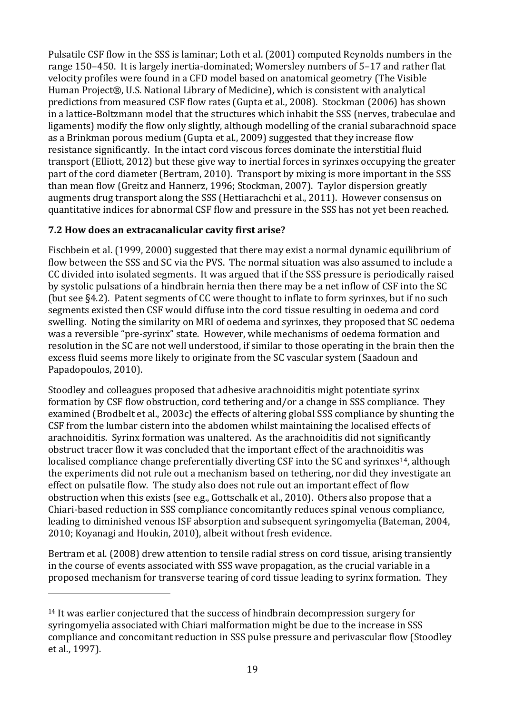Pulsatile CSF flow in the SSS is laminar; Loth et al. [\(2001\)](#page-35-19) computed Reynolds numbers in the range 150–450. It is largely inertia-dominated; Womersley numbers of 5–17 and rather flat velocity profiles were found in a CFD model based on anatomical geometry (The Visible Human Project®, U.S. National Library of Medicine), which is consistent with analytical predictions from measured CSF flow rates [\(Gupta et al., 2008\)](#page-33-14). Stockman [\(2006\)](#page-38-14) has shown in a lattice-Boltzmann model that the structures which inhabit the SSS (nerves, trabeculae and ligaments) modify the flow only slightly, although modelling of the cranial subarachnoid space as a Brinkman porous medium [\(Gupta et al., 2009\)](#page-33-15) suggested that they increase flow resistance significantly. In the intact cord viscous forces dominate the interstitial fluid transport [\(Elliott, 2012\)](#page-32-13) but these give way to inertial forces in syrinxes occupying the greater part of the cord diameter [\(Bertram, 2010\)](#page-30-5). Transport by mixing is more important in the SSS than mean flow [\(Greitz and Hannerz, 1996;](#page-33-16) [Stockman, 2007\)](#page-38-15). Taylor dispersion greatly augments drug transport along the SSS [\(Hettiarachchi et al., 2011\)](#page-34-19). However consensus on quantitative indices for abnormal CSF flow and pressure in the SSS has not yet been reached.

### **7.2 How does an extracanalicular cavity first arise?**

i<br>I

Fischbein et al. [\(1999,](#page-32-9) [2000\)](#page-32-10) suggested that there may exist a normal dynamic equilibrium of flow between the SSS and SC via the PVS. The normal situation was also assumed to include a CC divided into isolated segments. It was argued that if the SSS pressure is periodically raised by systolic pulsations of a hindbrain hernia then there may be a net inflow of CSF into the SC (but see §4.2). Patent segments of CC were thought to inflate to form syrinxes, but if no such segments existed then CSF would diffuse into the cord tissue resulting in oedema and cord swelling. Noting the similarity on MRI of oedema and syrinxes, they proposed that SC oedema was a reversible "pre-syrinx" state. However, while mechanisms of oedema formation and resolution in the SC are not well understood, if similar to those operating in the brain then the excess fluid seems more likely to originate from the SC vascular system [\(Saadoun and](#page-37-4)  [Papadopoulos, 2010\)](#page-37-4).

Stoodley and colleagues proposed that adhesive arachnoiditis might potentiate syrinx formation by CSF flow obstruction, cord tethering and/or a change in SSS compliance. They examined [\(Brodbelt et al., 2003c\)](#page-31-17) the effects of altering global SSS compliance by shunting the CSF from the lumbar cistern into the abdomen whilst maintaining the localised effects of arachnoiditis. Syrinx formation was unaltered. As the arachnoiditis did not significantly obstruct tracer flow it was concluded that the important effect of the arachnoiditis was localised compliance change preferentially diverting CSF into the SC and syrinxes<sup>14</sup>, although the experiments did not rule out a mechanism based on tethering, nor did they investigate an effect on pulsatile flow. The study also does not rule out an important effect of flow obstruction when this exists [\(see e.g., Gottschalk et al., 2010\)](#page-33-17). Others also propose that a Chiari-based reduction in SSS compliance concomitantly reduces spinal venous compliance, leading to diminished venous ISF absorption and subsequent syringomyelia [\(Bateman, 2004,](#page-30-14)  [2010;](#page-30-15) [Koyanagi and Houkin, 2010\)](#page-35-20), albeit without fresh evidence.

Bertram et al. [\(2008\)](#page-30-16) drew attention to tensile radial stress on cord tissue, arising transiently in the course of events associated with SSS wave propagation, as the crucial variable in a proposed mechanism for transverse tearing of cord tissue leading to syrinx formation. They

<span id="page-18-0"></span><sup>14</sup> It was earlier conjectured that the success of hindbrain decompression surgery for syringomyelia associated with Chiari malformation might be due to the increase in SSS compliance and concomitant reduction in SSS pulse pressure and perivascular flow [\(Stoodley](#page-38-16)  [et al., 1997\)](#page-38-16).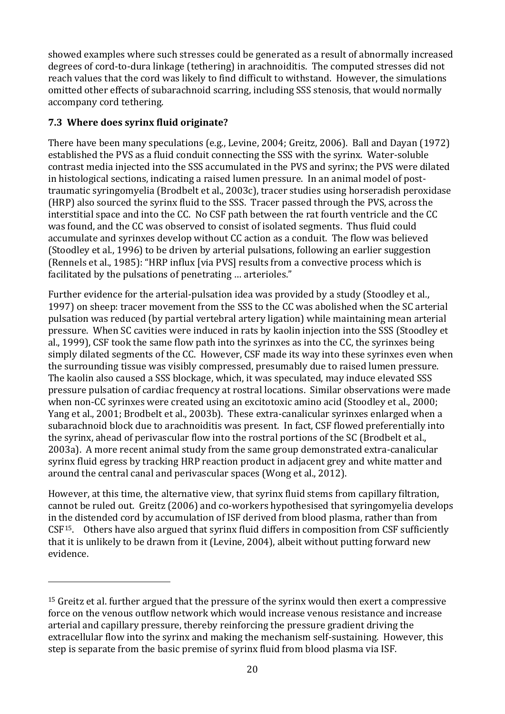showed examples where such stresses could be generated as a result of abnormally increased degrees of cord-to-dura linkage (tethering) in arachnoiditis. The computed stresses did not reach values that the cord was likely to find difficult to withstand. However, the simulations omitted other effects of subarachnoid scarring, including SSS stenosis, that would normally accompany cord tethering.

### **7.3 Where does syrinx fluid originate?**

i<br>I

There have been many speculations (e.g., [Levine, 2004;](#page-35-3) [Greitz, 2006\)](#page-33-13). Ball and Dayan [\(1972\)](#page-30-8) established the PVS as a fluid conduit connecting the SSS with the syrinx. Water-soluble contrast media injected into the SSS accumulated in the PVS and syrinx; the PVS were dilated in histological sections, indicating a raised lumen pressure. In an animal model of posttraumatic syringomyelia [\(Brodbelt et al., 2003c\)](#page-31-17), tracer studies using horseradish peroxidase (HRP) also sourced the syrinx fluid to the SSS. Tracer passed through the PVS, across the interstitial space and into the CC. No CSF path between the rat fourth ventricle and the CC was found, and the CC was observed to consist of isolated segments. Thus fluid could accumulate and syrinxes develop without CC action as a conduit. The flow was believed [\(Stoodley et al., 1996\)](#page-38-8) to be driven by arterial pulsations, following an earlier suggestion [\(Rennels et al., 1985\)](#page-37-9): "HRP influx [via PVS] results from a convective process which is facilitated by the pulsations of penetrating … arterioles."

Further evidence for the arterial-pulsation idea was provided by a study [\(Stoodley et al.,](#page-38-16)  [1997\)](#page-38-16) on sheep: tracer movement from the SSS to the CC was abolished when the SC arterial pulsation was reduced (by partial vertebral artery ligation) while maintaining mean arterial pressure. When SC cavities were induced in rats by kaolin injection into the SSS [\(Stoodley et](#page-38-17)  [al., 1999\)](#page-38-17), CSF took the same flow path into the syrinxes as into the CC, the syrinxes being simply dilated segments of the CC. However, CSF made its way into these syrinxes even when the surrounding tissue was visibly compressed, presumably due to raised lumen pressure. The kaolin also caused a SSS blockage, which, it was speculated, may induce elevated SSS pressure pulsation of cardiac frequency at rostral locations. Similar observations were made when non-CC syrinxes were created using an excitotoxic amino acid [\(Stoodley et al., 2000;](#page-38-18) [Yang et al., 2001;](#page-39-20) [Brodbelt et al., 2003b\)](#page-31-18). These extra-canalicular syrinxes enlarged when a subarachnoid block due to arachnoiditis was present. In fact, CSF flowed preferentially into the syrinx, ahead of perivascular flow into the rostral portions of the SC [\(Brodbelt et al.,](#page-31-19)  [2003a\)](#page-31-19). A more recent animal study from the same group demonstrated extra-canalicular syrinx fluid egress by tracking HRP reaction product in adjacent grey and white matter and around the central canal and perivascular spaces [\(Wong et al., 2012\)](#page-39-4).

However, at this time, the alternative view, that syrinx fluid stems from capillary filtration, cannot be ruled out. Greitz [\(2006\)](#page-33-13) and co-workers hypothesised that syringomyelia develops in the distended cord by accumulation of ISF derived from blood plasma, rather than from CSF[15](#page-19-0). Others have also argued that syrinx fluid differs in composition from CSF sufficiently that it is unlikely to be drawn from it [\(Levine, 2004\)](#page-35-3), albeit without putting forward new evidence.

<span id="page-19-0"></span><sup>&</sup>lt;sup>15</sup> Greitz et al. further argued that the pressure of the syrinx would then exert a compressive force on the venous outflow network which would increase venous resistance and increase arterial and capillary pressure, thereby reinforcing the pressure gradient driving the extracellular flow into the syrinx and making the mechanism self-sustaining. However, this step is separate from the basic premise of syrinx fluid from blood plasma via ISF.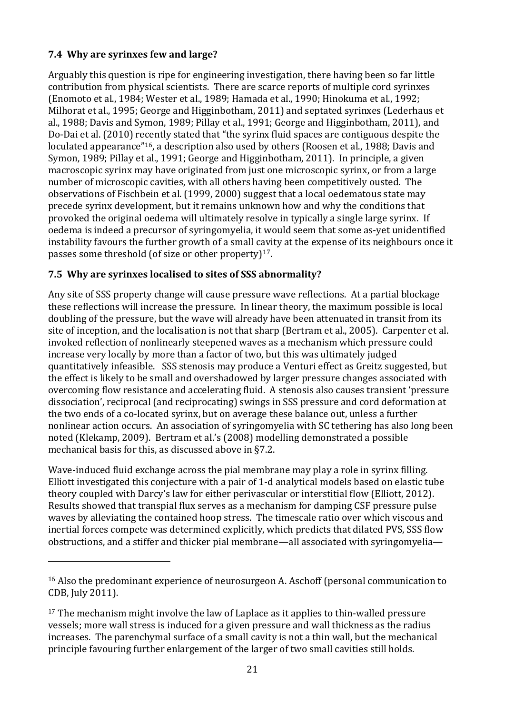#### **7.4 Why are syrinxes few and large?**

i<br>I

Arguably this question is ripe for engineering investigation, there having been so far little contribution from physical scientists. There are scarce reports of multiple cord syrinxes [\(Enomoto et al., 1984;](#page-32-15) [Wester et al., 1989;](#page-39-21) [Hamada et al., 1990;](#page-33-18) [Hinokuma et al., 1992;](#page-34-20) [Milhorat et al., 1995;](#page-36-18) [George and Higginbotham, 2011\)](#page-33-19) and septated syrinxes [\(Lederhaus et](#page-35-21)  [al., 1988;](#page-35-21) [Davis and Symon, 1989;](#page-32-16) [Pillay et al., 1991;](#page-37-17) [George and Higginbotham, 2011\)](#page-33-19), and Do-Dai et al. [\(2010\)](#page-32-17) recently stated that "the syrinx fluid spaces are contiguous despite the loculated appearance"<sup>[16](#page-20-0)</sup>, a description also used by others [\(Roosen et al., 1988;](#page-37-18) Davis and [Symon, 1989;](#page-32-16) [Pillay et al., 1991;](#page-37-17) [George and Higginbotham, 2011\)](#page-33-19). In principle, a given macroscopic syrinx may have originated from just one microscopic syrinx, or from a large number of microscopic cavities, with all others having been competitively ousted. The observations of Fischbein et al. [\(1999,](#page-32-9) [2000\)](#page-32-10) suggest that a local oedematous state may precede syrinx development, but it remains unknown how and why the conditions that provoked the original oedema will ultimately resolve in typically a single large syrinx. If oedema is indeed a precursor of syringomyelia, it would seem that some as-yet unidentified instability favours the further growth of a small cavity at the expense of its neighbours once it passes some threshold (of size or other property)[17](#page-20-1).

### **7.5 Why are syrinxes localised to sites of SSS abnormality?**

Any site of SSS property change will cause pressure wave reflections. At a partial blockage these reflections will increase the pressure. In linear theory, the maximum possible is local doubling of the pressure, but the wave will already have been attenuated in transit from its site of inception, and the localisation is not that sharp [\(Bertram et al., 2005\)](#page-30-12). Carpenter et al. invoked reflection of nonlinearly steepened waves as a mechanism which pressure could increase very locally by more than a factor of two, but this was ultimately judged quantitatively infeasible. SSS stenosis may produce a Venturi effect as Greitz suggested, but the effect is likely to be small and overshadowed by larger pressure changes associated with overcoming flow resistance and accelerating fluid. A stenosis also causes transient 'pressure dissociation', reciprocal (and reciprocating) swings in SSS pressure and cord deformation at the two ends of a co-located syrinx, but on average these balance out, unless a further nonlinear action occurs. An association of syringomyelia with SC tethering has also long been noted [\(Klekamp, 2009\)](#page-35-1). Bertram et al.'s [\(2008\)](#page-30-16) modelling demonstrated a possible mechanical basis for this, as discussed above in §7.2.

Wave-induced fluid exchange across the pial membrane may play a role in syrinx filling. Elliott investigated this conjecture with a pair of 1-d analytical models based on elastic tube theory coupled with Darcy's law for either perivascular or interstitial flow [\(Elliott, 2012\)](#page-32-13). Results showed that transpial flux serves as a mechanism for damping CSF pressure pulse waves by alleviating the contained hoop stress. The timescale ratio over which viscous and inertial forces compete was determined explicitly, which predicts that dilated PVS, SSS flow obstructions, and a stiffer and thicker pial membrane—all associated with syringomyelia—

<span id="page-20-0"></span><sup>16</sup> Also the predominant experience of neurosurgeon A. Aschoff (personal communication to CDB, July 2011).

<span id="page-20-1"></span><sup>&</sup>lt;sup>17</sup> The mechanism might involve the law of Laplace as it applies to thin-walled pressure vessels; more wall stress is induced for a given pressure and wall thickness as the radius increases. The parenchymal surface of a small cavity is not a thin wall, but the mechanical principle favouring further enlargement of the larger of two small cavities still holds.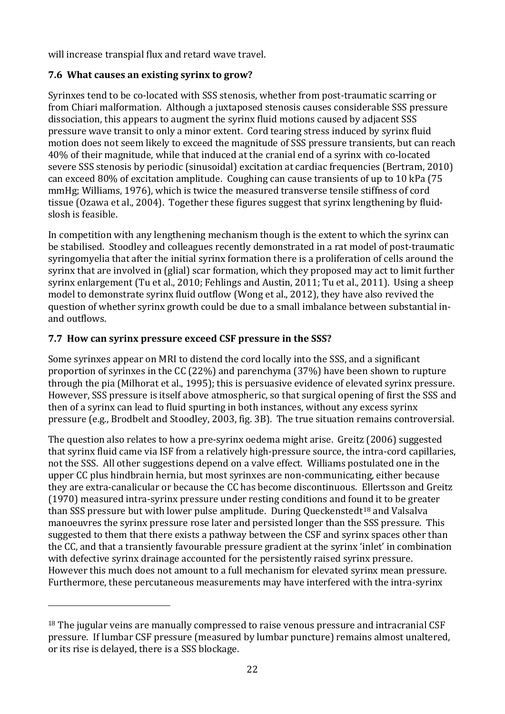will increase transpial flux and retard wave travel.

#### **7.6 What causes an existing syrinx to grow?**

Syrinxes tend to be co-located with SSS stenosis, whether from post-traumatic scarring or from Chiari malformation. Although a juxtaposed stenosis causes considerable SSS pressure dissociation, this appears to augment the syrinx fluid motions caused by adjacent SSS pressure wave transit to only a minor extent. Cord tearing stress induced by syrinx fluid motion does not seem likely to exceed the magnitude of SSS pressure transients, but can reach 40% of their magnitude, while that induced at the cranial end of a syrinx with co-located severe SSS stenosis by periodic (sinusoidal) excitation at cardiac frequencies [\(Bertram, 2010\)](#page-30-5) can exceed 80% of excitation amplitude. Coughing can cause transients of up to 10 kPa [\(75](#page-39-1)  [mmHg; Williams, 1976\)](#page-39-1), which is twice the measured transverse tensile stiffness of cord tissue [\(Ozawa et al., 2004\)](#page-36-7). Together these figures suggest that syrinx lengthening by fluidslosh is feasible.

In competition with any lengthening mechanism though is the extent to which the syrinx can be stabilised. Stoodley and colleagues recently demonstrated in a rat model of post-traumatic syringomyelia that after the initial syrinx formation there is a proliferation of cells around the syrinx that are involved in (glial) scar formation, which they proposed may act to limit further syrinx enlargement [\(Tu et al., 2010;](#page-38-19) [Fehlings and Austin, 2011;](#page-32-18) [Tu et al., 2011\)](#page-38-20). Using a sheep model to demonstrate syrinx fluid outflow [\(Wong et al., 2012\)](#page-39-4), they have also revived the question of whether syrinx growth could be due to a small imbalance between substantial inand outflows.

### **7.7 How can syrinx pressure exceed CSF pressure in the SSS?**

i<br>I

Some syrinxes appear on MRI to distend the cord locally into the SSS, and a significant proportion of syrinxes in the CC (22%) and parenchyma (37%) have been shown to rupture through the pia [\(Milhorat et al., 1995\)](#page-36-18); this is persuasive evidence of elevated syrinx pressure. However, SSS pressure is itself above atmospheric, so that surgical opening of first the SSS and then of a syrinx can lead to fluid spurting in both instances, without any excess syrinx pressure [\(e.g., Brodbelt and Stoodley, 2003, fig. 3B\)](#page-31-0). The true situation remains controversial.

The question also relates to how a pre-syrinx oedema might arise. [Greitz \(2006\)](#page-33-13) suggested that syrinx fluid came via ISF from a relatively high-pressure source, the intra-cord capillaries, not the SSS. All other suggestions depend on a valve effect. Williams postulated one in the upper CC plus hindbrain hernia, but most syrinxes are non-communicating, either because they are extra-canalicular or because the CC has become discontinuous. Ellertsson and Greitz [\(1970\)](#page-32-19) measured intra-syrinx pressure under resting conditions and found it to be greater than SSS pressure but with lower pulse amplitude. During Queckenstedt<sup>[18](#page-21-0)</sup> and Valsalva manoeuvres the syrinx pressure rose later and persisted longer than the SSS pressure. This suggested to them that there exists a pathway between the CSF and syrinx spaces other than the CC, and that a transiently favourable pressure gradient at the syrinx 'inlet' in combination with defective syrinx drainage accounted for the persistently raised syrinx pressure. However this much does not amount to a full mechanism for elevated syrinx mean pressure. Furthermore, these percutaneous measurements may have interfered with the intra-syrinx

<span id="page-21-0"></span><sup>&</sup>lt;sup>18</sup> The jugular veins are manually compressed to raise venous pressure and intracranial CSF pressure. If lumbar CSF pressure (measured by lumbar puncture) remains almost unaltered, or its rise is delayed, there is a SSS blockage.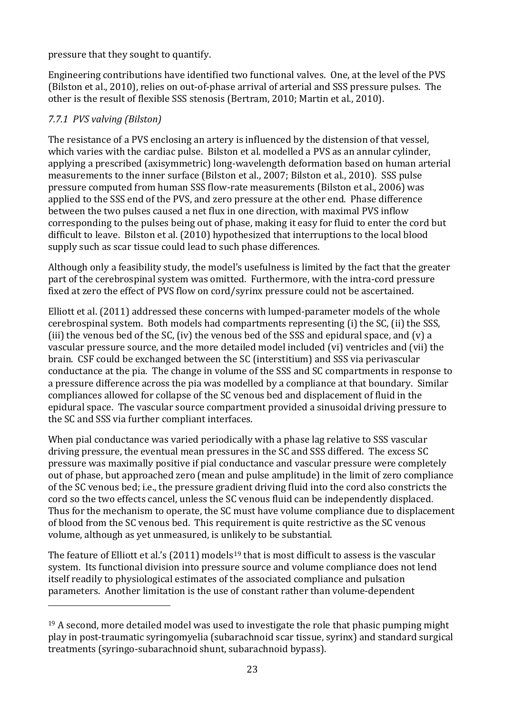pressure that they sought to quantify.

Engineering contributions have identified two functional valves. One, at the level of the PVS [\(Bilston et al., 2010\)](#page-31-16), relies on out-of-phase arrival of arterial and SSS pressure pulses. The other is the result of flexible SSS stenosis [\(Bertram, 2010;](#page-30-5) [Martin et al., 2010\)](#page-35-17).

## *7.7.1 PVS valving (Bilston)*

i<br>I

The resistance of a PVS enclosing an artery is influenced by the distension of that vessel, which varies with the cardiac pulse. Bilston et al. modelled a PVS as an annular cylinder, applying a prescribed (axisymmetric) long-wavelength deformation based on human arterial measurements to the inner surface [\(Bilston et al., 2007;](#page-31-15) [Bilston et al., 2010\)](#page-31-16). SSS pulse pressure computed from human SSS flow-rate measurements [\(Bilston et al., 2006\)](#page-30-17) was applied to the SSS end of the PVS, and zero pressure at the other end. Phase difference between the two pulses caused a net flux in one direction, with maximal PVS inflow corresponding to the pulses being out of phase, making it easy for fluid to enter the cord but difficult to leave. Bilston et al. [\(2010\)](#page-31-16) hypothesized that interruptions to the local blood supply such as scar tissue could lead to such phase differences.

Although only a feasibility study, the model's usefulness is limited by the fact that the greater part of the cerebrospinal system was omitted. Furthermore, with the intra-cord pressure fixed at zero the effect of PVS flow on cord/syrinx pressure could not be ascertained.

Elliott et al. [\(2011\)](#page-32-20) addressed these concerns with lumped-parameter models of the whole cerebrospinal system. Both models had compartments representing (i) the SC, (ii) the SSS, (iii) the venous bed of the SC, (iv) the venous bed of the SSS and epidural space, and  $(v)$  a vascular pressure source, and the more detailed model included (vi) ventricles and (vii) the brain. CSF could be exchanged between the SC (interstitium) and SSS via perivascular conductance at the pia. The change in volume of the SSS and SC compartments in response to a pressure difference across the pia was modelled by a compliance at that boundary. Similar compliances allowed for collapse of the SC venous bed and displacement of fluid in the epidural space. The vascular source compartment provided a sinusoidal driving pressure to the SC and SSS via further compliant interfaces.

When pial conductance was varied periodically with a phase lag relative to SSS vascular driving pressure, the eventual mean pressures in the SC and SSS differed. The excess SC pressure was maximally positive if pial conductance and vascular pressure were completely out of phase, but approached zero (mean and pulse amplitude) in the limit of zero compliance of the SC venous bed; i.e., the pressure gradient driving fluid into the cord also constricts the cord so the two effects cancel, unless the SC venous fluid can be independently displaced. Thus for the mechanism to operate, the SC must have volume compliance due to displacement of blood from the SC venous bed. This requirement is quite restrictive as the SC venous volume, although as yet unmeasured, is unlikely to be substantial.

The feature of Elliott et al.'s [\(2011\)](#page-32-20) models<sup>[19](#page-22-0)</sup> that is most difficult to assess is the vascular system. Its functional division into pressure source and volume compliance does not lend itself readily to physiological estimates of the associated compliance and pulsation parameters. Another limitation is the use of constant rather than volume-dependent

<span id="page-22-0"></span> $19$  A second, more detailed model was used to investigate the role that phasic pumping might play in post-traumatic syringomyelia (subarachnoid scar tissue, syrinx) and standard surgical treatments (syringo-subarachnoid shunt, subarachnoid bypass).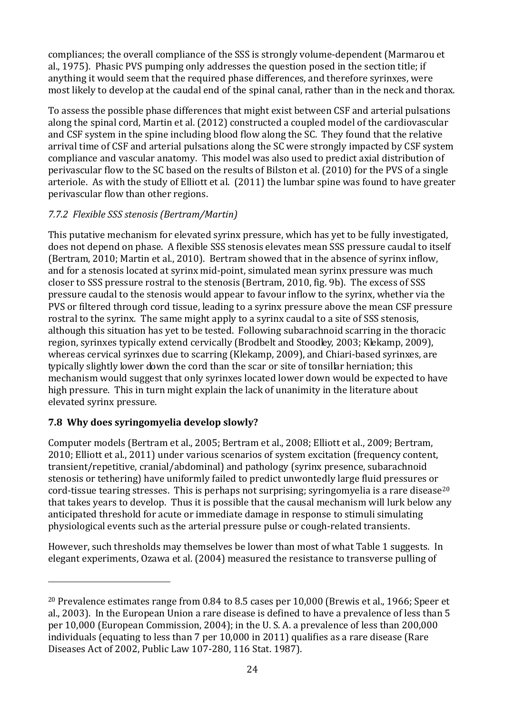compliances; the overall compliance of the SSS is strongly volume-dependent [\(Marmarou et](#page-35-9)  [al., 1975\)](#page-35-9). Phasic PVS pumping only addresses the question posed in the section title; if anything it would seem that the required phase differences, and therefore syrinxes, were most likely to develop at the caudal end of the spinal canal, rather than in the neck and thorax.

To assess the possible phase differences that might exist between CSF and arterial pulsations along the spinal cord, Martin et al. [\(2012\)](#page-35-10) constructed a coupled model of the cardiovascular and CSF system in the spine including blood flow along the SC. They found that the relative arrival time of CSF and arterial pulsations along the SC were strongly impacted by CSF system compliance and vascular anatomy. This model was also used to predict axial distribution of perivascular flow to the SC based on the results of Bilston et al. [\(2010\)](#page-31-16) for the PVS of a single arteriole. As with the study of Elliott et al. [\(2011\)](#page-32-20) the lumbar spine was found to have greater perivascular flow than other regions.

### *7.7.2 Flexible SSS stenosis (Bertram/Martin)*

This putative mechanism for elevated syrinx pressure, which has yet to be fully investigated, does not depend on phase. A flexible SSS stenosis elevates mean SSS pressure caudal to itself [\(Bertram, 2010;](#page-30-5) [Martin et al., 2010\)](#page-35-17). Bertram showed that in the absence of syrinx inflow, and for a stenosis located at syrinx mid-point, simulated mean syrinx pressure was much closer to SSS pressure rostral to the stenosis [\(Bertram, 2010, fig. 9b\)](#page-30-5). The excess of SSS pressure caudal to the stenosis would appear to favour inflow to the syrinx, whether via the PVS or filtered through cord tissue, leading to a syrinx pressure above the mean CSF pressure rostral to the syrinx. The same might apply to a syrinx caudal to a site of SSS stenosis, although this situation has yet to be tested. Following subarachnoid scarring in the thoracic region, syrinxes typically extend cervically [\(Brodbelt and Stoodley, 2003;](#page-31-0) [Klekamp, 2009\)](#page-35-1), whereas cervical syrinxes due to scarring [\(Klekamp, 2009\)](#page-35-1), and Chiari-based syrinxes, are typically slightly lower down the cord than the scar or site of tonsillar herniation; this mechanism would suggest that only syrinxes located lower down would be expected to have high pressure. This in turn might explain the lack of unanimity in the literature about elevated syrinx pressure.

# **7.8 Why does syringomyelia develop slowly?**

i<br>I

Computer models [\(Bertram et al., 2005;](#page-30-12) [Bertram et al., 2008;](#page-30-16) [Elliott et al., 2009;](#page-32-14) [Bertram,](#page-30-5)  [2010;](#page-30-5) [Elliott et al., 2011\)](#page-32-20) under various scenarios of system excitation (frequency content, transient/repetitive, cranial/abdominal) and pathology (syrinx presence, subarachnoid stenosis or tethering) have uniformly failed to predict unwontedly large fluid pressures or cord-tissue tearing stresses. This is perhaps not surprising; syringomyelia is a rare disease<sup>[20](#page-23-0)</sup> that takes years to develop. Thus it is possible that the causal mechanism will lurk below any anticipated threshold for acute or immediate damage in response to stimuli simulating physiological events such as the arterial pressure pulse or cough-related transients.

However, such thresholds may themselves be lower than most of what Table 1 suggests. In elegant experiments, Ozawa et al. [\(2004\)](#page-36-7) measured the resistance to transverse pulling of

<span id="page-23-0"></span><sup>20</sup> Prevalence estimates range from 0.84 to 8.5 cases per 10,000 [\(Brewis et al., 1966;](#page-31-20) [Speer et](#page-38-21)  [al., 2003\)](#page-38-21). In the European Union a rare disease is defined to have a prevalence of less than 5 per 10,000 [\(European Commission, 2004\)](#page-30-18); in the U. S. A. a prevalence of less than 200,000 individuals (equating to less than 7 per 10,000 in 2011) qualifies as a rare disease [\(Rare](#page-30-19)  [Diseases Act of 2002, Public Law 107-280, 116 Stat. 1987\)](#page-30-19).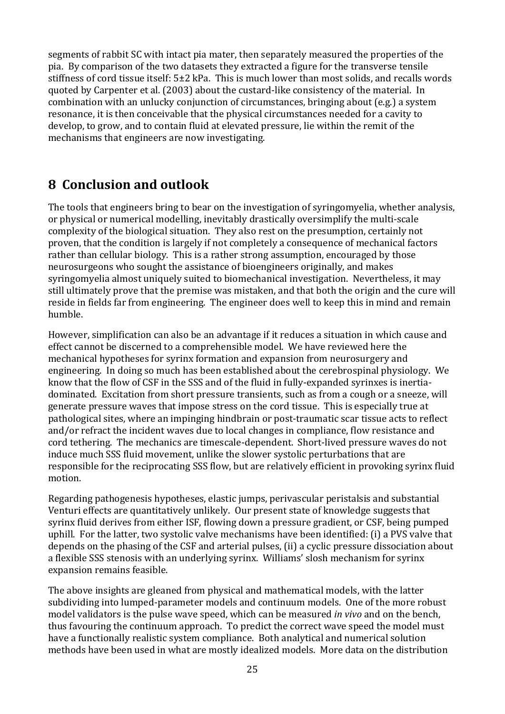segments of rabbit SC with intact pia mater, then separately measured the properties of the pia. By comparison of the two datasets they extracted a figure for the transverse tensile stiffness of cord tissue itself:  $5\pm 2$  kPa. This is much lower than most solids, and recalls words quoted by Carpenter et al. [\(2003\)](#page-31-12) about the custard-like consistency of the material. In combination with an unlucky conjunction of circumstances, bringing about (e.g.) a system resonance, it is then conceivable that the physical circumstances needed for a cavity to develop, to grow, and to contain fluid at elevated pressure, lie within the remit of the mechanisms that engineers are now investigating.

# **8 Conclusion and outlook**

The tools that engineers bring to bear on the investigation of syringomyelia, whether analysis, or physical or numerical modelling, inevitably drastically oversimplify the multi-scale complexity of the biological situation. They also rest on the presumption, certainly not proven, that the condition is largely if not completely a consequence of mechanical factors rather than cellular biology. This is a rather strong assumption, encouraged by those neurosurgeons who sought the assistance of bioengineers originally, and makes syringomyelia almost uniquely suited to biomechanical investigation. Nevertheless, it may still ultimately prove that the premise was mistaken, and that both the origin and the cure will reside in fields far from engineering. The engineer does well to keep this in mind and remain humble.

However, simplification can also be an advantage if it reduces a situation in which cause and effect cannot be discerned to a comprehensible model. We have reviewed here the mechanical hypotheses for syrinx formation and expansion from neurosurgery and engineering. In doing so much has been established about the cerebrospinal physiology. We know that the flow of CSF in the SSS and of the fluid in fully-expanded syrinxes is inertiadominated. Excitation from short pressure transients, such as from a cough or a sneeze, will generate pressure waves that impose stress on the cord tissue. This is especially true at pathological sites, where an impinging hindbrain or post-traumatic scar tissue acts to reflect and/or refract the incident waves due to local changes in compliance, flow resistance and cord tethering. The mechanics are timescale-dependent. Short-lived pressure waves do not induce much SSS fluid movement, unlike the slower systolic perturbations that are responsible for the reciprocating SSS flow, but are relatively efficient in provoking syrinx fluid motion.

Regarding pathogenesis hypotheses, elastic jumps, perivascular peristalsis and substantial Venturi effects are quantitatively unlikely. Our present state of knowledge suggests that syrinx fluid derives from either ISF, flowing down a pressure gradient, or CSF, being pumped uphill. For the latter, two systolic valve mechanisms have been identified: (i) a PVS valve that depends on the phasing of the CSF and arterial pulses, (ii) a cyclic pressure dissociation about a flexible SSS stenosis with an underlying syrinx. Williams' slosh mechanism for syrinx expansion remains feasible.

The above insights are gleaned from physical and mathematical models, with the latter subdividing into lumped-parameter models and continuum models. One of the more robust model validators is the pulse wave speed, which can be measured *in vivo* and on the bench, thus favouring the continuum approach. To predict the correct wave speed the model must have a functionally realistic system compliance. Both analytical and numerical solution methods have been used in what are mostly idealized models. More data on the distribution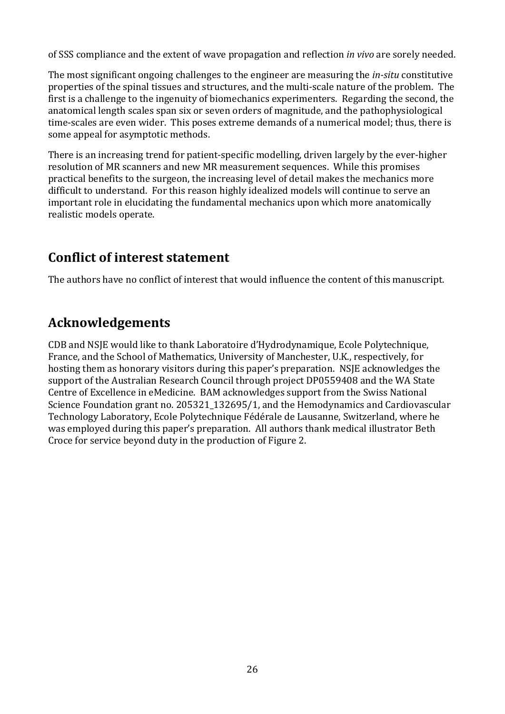of SSS compliance and the extent of wave propagation and reflection *in vivo* are sorely needed.

The most significant ongoing challenges to the engineer are measuring the *in-situ* constitutive properties of the spinal tissues and structures, and the multi-scale nature of the problem. The first is a challenge to the ingenuity of biomechanics experimenters. Regarding the second, the anatomical length scales span six or seven orders of magnitude, and the pathophysiological time-scales are even wider. This poses extreme demands of a numerical model; thus, there is some appeal for asymptotic methods.

There is an increasing trend for patient-specific modelling, driven largely by the ever-higher resolution of MR scanners and new MR measurement sequences. While this promises practical benefits to the surgeon, the increasing level of detail makes the mechanics more difficult to understand. For this reason highly idealized models will continue to serve an important role in elucidating the fundamental mechanics upon which more anatomically realistic models operate.

# **Conflict of interest statement**

The authors have no conflict of interest that would influence the content of this manuscript.

# **Acknowledgements**

CDB and NSJE would like to thank Laboratoire d'Hydrodynamique, Ecole Polytechnique, France, and the School of Mathematics, University of Manchester, U.K., respectively, for hosting them as honorary visitors during this paper's preparation. NSJE acknowledges the support of the Australian Research Council through project DP0559408 and the WA State Centre of Excellence in eMedicine. BAM acknowledges support from the Swiss National Science Foundation grant no. 205321\_132695/1, and the Hemodynamics and Cardiovascular Technology Laboratory, Ecole Polytechnique Fédérale de Lausanne, Switzerland, where he was employed during this paper's preparation. All authors thank medical illustrator Beth Croce for service beyond duty in the production of Figure 2.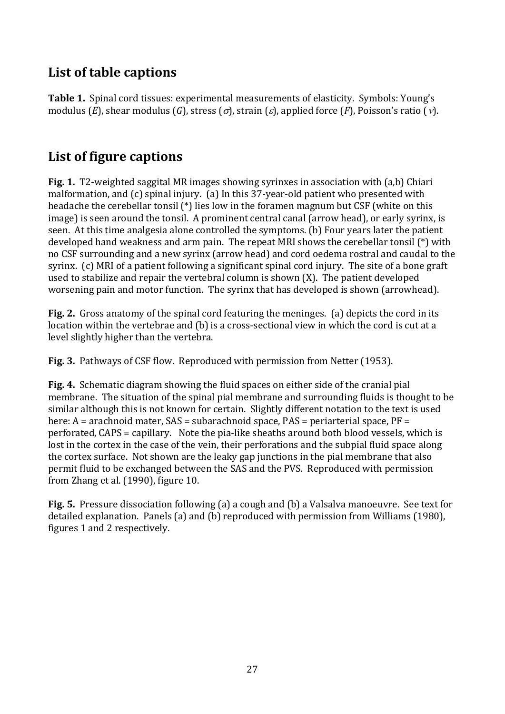# **List of table captions**

**Table 1.** Spinal cord tissues: experimental measurements of elasticity. Symbols: Young's modulus (*E*), shear modulus (*G*), stress (σ), strain (ε), applied force (*F*), Poisson's ratio (ν).

# **List of figure captions**

**Fig. 1.** T2-weighted saggital MR images showing syrinxes in association with (a,b) Chiari malformation, and (c) spinal injury. (a) In this 37-year-old patient who presented with headache the cerebellar tonsil (\*) lies low in the foramen magnum but CSF (white on this image) is seen around the tonsil. A prominent central canal (arrow head), or early syrinx, is seen. At this time analgesia alone controlled the symptoms. (b) Four years later the patient developed hand weakness and arm pain. The repeat MRI shows the cerebellar tonsil (\*) with no CSF surrounding and a new syrinx (arrow head) and cord oedema rostral and caudal to the syrinx. (c) MRI of a patient following a significant spinal cord injury. The site of a bone graft used to stabilize and repair the vertebral column is shown (X). The patient developed worsening pain and motor function. The syrinx that has developed is shown (arrowhead).

**Fig. 2.** Gross anatomy of the spinal cord featuring the meninges. (a) depicts the cord in its location within the vertebrae and (b) is a cross-sectional view in which the cord is cut at a level slightly higher than the vertebra.

**Fig. 3.** Pathways of CSF flow. Reproduced with permission from Netter [\(1953\)](#page-36-19).

**Fig. 4.** Schematic diagram showing the fluid spaces on either side of the cranial pial membrane. The situation of the spinal pial membrane and surrounding fluids is thought to be similar although this is not known for certain. Slightly different notation to the text is used here: A = arachnoid mater, SAS = subarachnoid space, PAS = periarterial space, PF = perforated, CAPS = capillary. Note the pia-like sheaths around both blood vessels, which is lost in the cortex in the case of the vein, their perforations and the subpial fluid space along the cortex surface. Not shown are the leaky gap junctions in the pial membrane that also permit fluid to be exchanged between the SAS and the PVS. Reproduced with permission from Zhang et al. [\(1990\)](#page-39-2), figure 10.

**Fig. 5.** Pressure dissociation following (a) a cough and (b) a Valsalva manoeuvre. See text for detailed explanation. Panels (a) and (b) reproduced with permission from Williams [\(1980\)](#page-39-11), figures 1 and 2 respectively.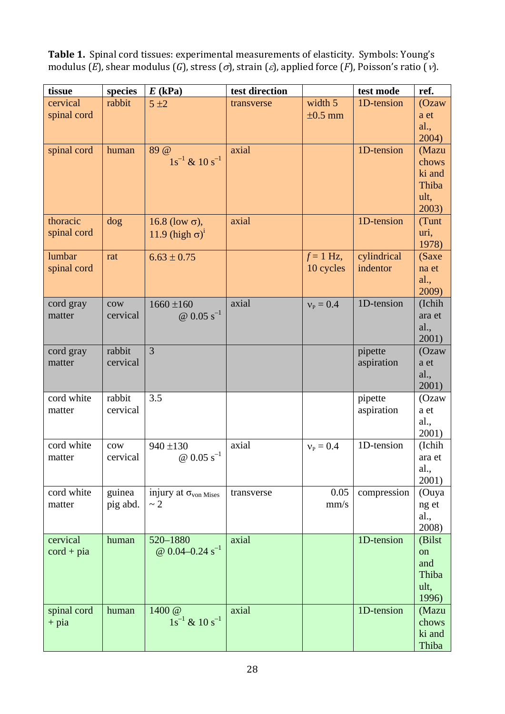**Table 1.** Spinal cord tissues: experimental measurements of elasticity. Symbols: Young's modulus (*E*), shear modulus (*G*), stress (σ), strain (ε), applied force (*F*), Poisson's ratio (ν).

| tissue                     | species         | $E$ (kPa)                             | test direction |                   | test mode   | ref.   |
|----------------------------|-----------------|---------------------------------------|----------------|-------------------|-------------|--------|
| cervical                   | rabbit          | 5±2                                   | transverse     | width 5           | 1D-tension  | (Ozaw  |
| spinal cord                |                 |                                       |                | $\pm 0.5$ mm      |             | a et   |
|                            |                 |                                       |                |                   |             | al.,   |
|                            |                 |                                       |                |                   |             | 2004)  |
| spinal cord                | human           | 89 @                                  | axial          |                   | 1D-tension  | (Mazu  |
|                            |                 | $1s^{-1}$ & $10s^{-1}$                |                |                   |             | chows  |
|                            |                 |                                       |                |                   |             | ki and |
|                            |                 |                                       |                |                   |             | Thiba  |
|                            |                 |                                       |                |                   |             | ult,   |
|                            |                 |                                       |                |                   |             | 2003)  |
| thoracic                   | dog             | $16.8$ (low $\sigma$ ),               | axial          |                   | 1D-tension  | (Tunt  |
| spinal cord                |                 | 11.9 (high $\sigma$ ) <sup>1</sup>    |                |                   |             | uri,   |
|                            |                 |                                       |                |                   |             | 1978)  |
| lumbar                     | rat             | $6.63 \pm 0.75$                       |                | $f = 1$ Hz,       | cylindrical | (Saxe  |
| spinal cord                |                 |                                       |                | 10 cycles         | indentor    | na et  |
|                            |                 |                                       |                |                   |             | al.,   |
|                            |                 |                                       |                |                   |             | 2009)  |
| cord gray                  | cow             | $1660 \pm 160$                        | axial          | $v_{\rm P} = 0.4$ | 1D-tension  | (Ichih |
| matter                     | cervical        | @ $0.05 s^{-1}$                       |                |                   |             | ara et |
|                            |                 |                                       |                |                   |             | al.,   |
|                            |                 |                                       |                |                   |             | 2001)  |
| cord gray                  | rabbit          | $\overline{3}$                        |                |                   | pipette     | Ozaw   |
| matter                     | cervical        |                                       |                |                   | aspiration  | a et   |
|                            |                 |                                       |                |                   |             | al.,   |
|                            |                 |                                       |                |                   |             | 2001)  |
| cord white                 | rabbit          | 3.5                                   |                |                   | pipette     | (Ozaw  |
| matter                     | cervical        |                                       |                |                   | aspiration  | a et   |
|                            |                 |                                       |                |                   |             | al.,   |
|                            |                 |                                       |                |                   |             | 2001)  |
| cord white                 | $_{\text{cow}}$ | $940 \pm 130$                         | axial          | $v_{\rm P} = 0.4$ | 1D-tension  | (Ichih |
| matter                     | cervical        | @ $0.05 s^{-1}$                       |                |                   |             | ara et |
|                            |                 |                                       |                |                   |             | al.,   |
|                            |                 |                                       |                |                   |             | 2001)  |
| cord white                 | guinea          | injury at $\sigma_{\text{von Mises}}$ | transverse     | 0.05              | compression | (Ouya  |
| matter                     | pig abd.        | $\sim$ 2                              |                | mm/s              |             | ng et  |
|                            |                 |                                       |                |                   |             | al.,   |
|                            |                 |                                       |                |                   |             | 2008)  |
| cervical                   | human           | 520-1880                              | axial          |                   | 1D-tension  | (Bilst |
| $\text{cord} + \text{pia}$ |                 | @ $0.04 - 0.24$ s <sup>-1</sup>       |                |                   |             | on     |
|                            |                 |                                       |                |                   |             | and    |
|                            |                 |                                       |                |                   |             | Thiba  |
|                            |                 |                                       |                |                   |             | ult,   |
|                            |                 |                                       |                |                   |             | 1996)  |
| spinal cord                | human           | 1400 @                                | axial          |                   | 1D-tension  | (Mazu  |
| $+$ pia                    |                 | $1s^{-1}$ & $10s^{-1}$                |                |                   |             | chows  |
|                            |                 |                                       |                |                   |             | ki and |
|                            |                 |                                       |                |                   |             | Thiba  |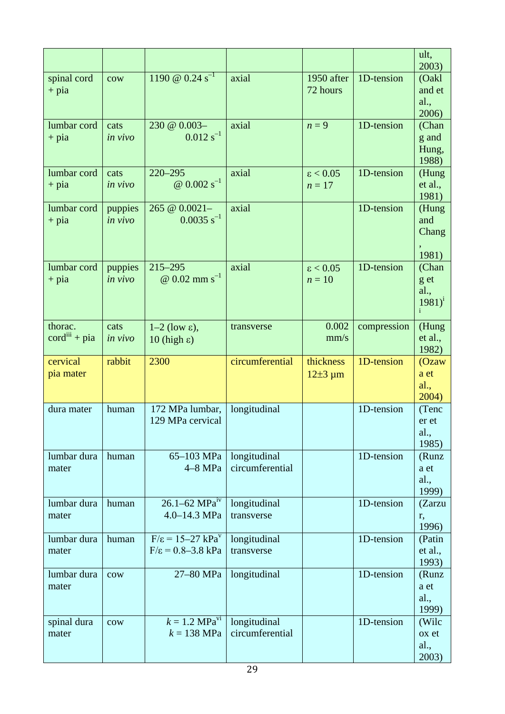|                                         |         |                                          |                            |                   |             | ult,                                |
|-----------------------------------------|---------|------------------------------------------|----------------------------|-------------------|-------------|-------------------------------------|
|                                         |         |                                          |                            |                   |             | 2003)                               |
| spinal cord                             | cow     | 1190 @ $0.24 s^{-1}$                     | axial                      | 1950 after        | 1D-tension  | (Oakl                               |
| $+$ pia                                 |         |                                          |                            | 72 hours          |             | and et                              |
|                                         |         |                                          |                            |                   |             | al.,                                |
|                                         |         |                                          |                            |                   |             | 2006)                               |
| lumbar cord                             | cats    | 230 @ 0.003-                             | axial                      | $n=9$             | 1D-tension  | (Chan                               |
| $+$ pia                                 | in vivo | $0.012 s^{-1}$                           |                            |                   |             | g and                               |
|                                         |         |                                          |                            |                   |             | Hung,                               |
|                                         |         |                                          |                            |                   |             | 1988)                               |
| lumbar cord                             | cats    | $220 - 295$                              | axial                      | $\epsilon$ < 0.05 | 1D-tension  | (Hung                               |
| $+$ pia                                 | in vivo | @ $0.002 s^{-1}$                         |                            | $n=17$            |             | et al.,                             |
|                                         |         |                                          |                            |                   |             | 1981)                               |
| lumbar cord                             | puppies | 265 @ 0.0021-                            | axial                      |                   | 1D-tension  | (Hung                               |
| $+$ pia                                 | in vivo | $0.0035 s^{-1}$                          |                            |                   |             | and                                 |
|                                         |         |                                          |                            |                   |             | Chang                               |
|                                         |         |                                          |                            |                   |             |                                     |
|                                         |         |                                          |                            |                   |             | 1981)                               |
| lumbar cord                             | puppies | 215-295                                  | axial                      | $\epsilon$ < 0.05 | 1D-tension  | (Chan                               |
| $+$ pia                                 | in vivo | @ $0.02$ mm s <sup>-1</sup>              |                            | $n=10$            |             | g et                                |
|                                         |         |                                          |                            |                   |             | al.,                                |
|                                         |         |                                          |                            |                   |             | $1981$ <sup>1</sup><br>$\mathbf{i}$ |
| thorac.                                 | cats    |                                          | transverse                 | 0.002             | compression | (Hung                               |
| $\text{cord}^{\text{iii}} + \text{pia}$ | in vivo | $1-2$ (low $\varepsilon$ ),              |                            | mm/s              |             | et al.,                             |
|                                         |         | $10$ (high ε)                            |                            |                   |             | 1982)                               |
| cervical                                | rabbit  | 2300                                     | circumferential            | thickness         | 1D-tension  | Ozaw                                |
| pia mater                               |         |                                          |                            | $12\pm3 \mu m$    |             | a et                                |
|                                         |         |                                          |                            |                   |             | al.,                                |
|                                         |         |                                          |                            |                   |             | 2004)                               |
| dura mater                              | human   | 172 MPa lumbar,                          | longitudinal               |                   | 1D-tension  | (Tenc                               |
|                                         |         | 129 MPa cervical                         |                            |                   |             | er et                               |
|                                         |         |                                          |                            |                   |             | al.,                                |
|                                         |         |                                          |                            |                   |             | 1985)                               |
| lumbar dura                             | human   | 65-103 MPa                               | longitudinal               |                   | 1D-tension  | (Runz                               |
| mater                                   |         | 4-8 MPa                                  | circumferential            |                   |             | a et                                |
|                                         |         |                                          |                            |                   |             | al.,                                |
|                                         |         |                                          |                            |                   |             | 1999)                               |
| lumbar dura                             | human   | $26.1 - 62 \text{ MPa}^{iv}$             | longitudinal               |                   | 1D-tension  | (Zarzu)                             |
| mater                                   |         | 4.0-14.3 MPa                             | transverse                 |                   |             | r,                                  |
|                                         |         | $F/\varepsilon = 15-27$ kPa <sup>v</sup> |                            |                   |             | 1996)                               |
| lumbar dura<br>mater                    | human   | $F/\epsilon = 0.8 - 3.8$ kPa             | longitudinal<br>transverse |                   | 1D-tension  | (Patin<br>et al.,                   |
|                                         |         |                                          |                            |                   |             | 1993)                               |
| lumbar dura                             | cow     | 27-80 MPa                                | longitudinal               |                   | 1D-tension  | (Runz                               |
| mater                                   |         |                                          |                            |                   |             | a et                                |
|                                         |         |                                          |                            |                   |             | al.,                                |
|                                         |         |                                          |                            |                   |             | 1999)                               |
| spinal dura                             | cow     | $k = 1.2 \text{ MPa}^{vi}$               | longitudinal               |                   | 1D-tension  | (Wilc                               |
| mater                                   |         | $k = 138$ MPa                            | circumferential            |                   |             | ox et                               |
|                                         |         |                                          |                            |                   |             |                                     |
|                                         |         |                                          |                            |                   |             | al.,                                |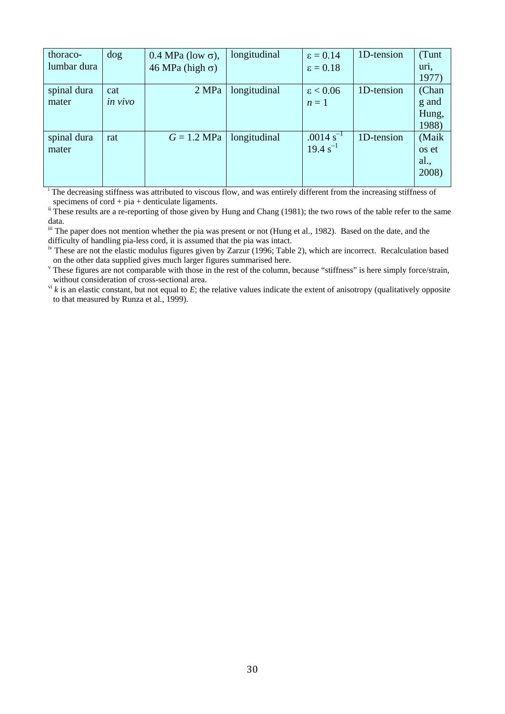| thoraco-    | $\log$  | $0.4 \text{ MPa (low } \sigma)$ , | longitudinal | $\epsilon = 0.14$      | 1D-tension | (Tunt |
|-------------|---------|-----------------------------------|--------------|------------------------|------------|-------|
| lumbar dura |         | 46 MPa (high $\sigma$ )           |              | $\epsilon = 0.18$      |            | uri.  |
|             |         |                                   |              |                        |            | 1977) |
| spinal dura | cat     | 2 MPa                             | longitudinal | $\epsilon < 0.06$      | 1D-tension | (Chan |
| mater       | in vivo |                                   |              | $n=1$                  |            | g and |
|             |         |                                   |              |                        |            | Hung, |
|             |         |                                   |              |                        |            | 1988) |
| spinal dura | rat     | $G = 1.2$ MPa                     | longitudinal | $.0014 \text{ s}^{-1}$ | 1D-tension | (Maik |
| mater       |         |                                   |              | $19.4 s^{-1}$          |            | os et |
|             |         |                                   |              |                        |            | al.,  |
|             |         |                                   |              |                        |            | 2008) |
|             |         |                                   |              |                        |            |       |

<sup>i</sup> The decreasing stiffness was attributed to viscous flow, and was entirely different from the increasing stiffness of

specimens of cord + pia + denticulate ligaments.<br>ii These results are a re-reporting of those given by Hung and Chang [\(1981\)](#page-34-6); the two rows of the table refer to the same data.

<sup>iii</sup> The paper does not mention whether the pia was present or not [\(Hung et al., 1982\)](#page-34-8). Based on the date, and the difficulty of handling pia-less cord, it is assumed that the pia was intact.

 $\frac{d}{dx}$  These are not the elastic modulus figures given by Zarzur [\(1996; Table 2\)](#page-39-6), which are incorrect. Recalculation based on the other data supplied gives much larger figures summarised here.

<sup>v</sup> These figures are not comparable with those in the rest of the column, because "stiffness" is here simply force/strain, without consideration of cross-sectional area.

 $v^i$  *k* is an elastic constant, but not equal to *E*; the relative values indicate the extent of anisotropy (qualitatively opposite [to that measured by Runza et al., 1999\)](#page-37-6).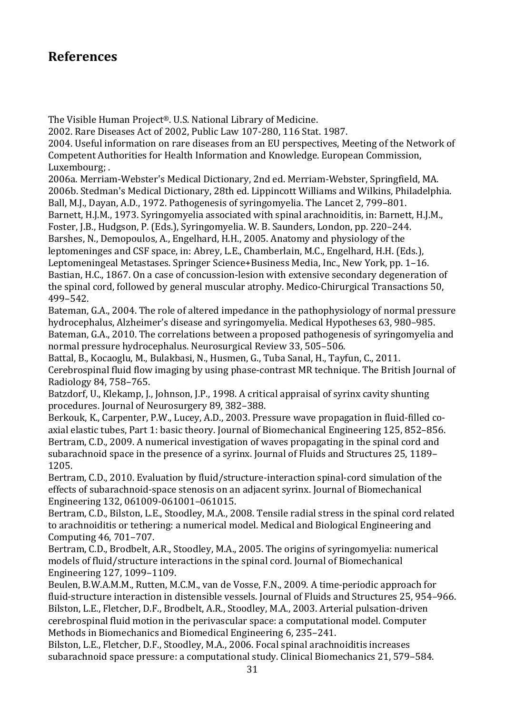# **References**

The Visible Human Project®. U.S. National Library of Medicine.

<span id="page-30-19"></span>2002. Rare Diseases Act of 2002, Public Law 107-280, 116 Stat. 1987.

<span id="page-30-18"></span>2004. Useful information on rare diseases from an EU perspectives, Meeting of the Network of Competent Authorities for Health Information and Knowledge. European Commission, Luxembourg; .

<span id="page-30-2"></span><span id="page-30-1"></span>2006a. Merriam-Webster's Medical Dictionary, 2nd ed. Merriam-Webster, Springfield, MA. 2006b. Stedman's Medical Dictionary, 28th ed. Lippincott Williams and Wilkins, Philadelphia. Ball, M.J., Dayan, A.D., 1972. Pathogenesis of syringomyelia. The Lancet 2, 799–801.

<span id="page-30-8"></span><span id="page-30-7"></span>Barnett, H.J.M., 1973. Syringomyelia associated with spinal arachnoiditis, in: Barnett, H.J.M.,

<span id="page-30-4"></span>Foster, J.B., Hudgson, P. (Eds.), Syringomyelia. W. B. Saunders, London, pp. 220–244. Barshes, N., Demopoulos, A., Engelhard, H.H., 2005. Anatomy and physiology of the leptomeninges and CSF space, in: Abrey, L.E., Chamberlain, M.C., Engelhard, H.H. (Eds.), Leptomeningeal Metastases. Springer Science+Business Media, Inc., New York, pp. 1–16. Bastian, H.C., 1867. On a case of concussion-lesion with extensive secondary degeneration of the spinal cord, followed by general muscular atrophy. Medico-Chirurgical Transactions 50, 499–542.

<span id="page-30-14"></span><span id="page-30-6"></span>Bateman, G.A., 2004. The role of altered impedance in the pathophysiology of normal pressure hydrocephalus, Alzheimer's disease and syringomyelia. Medical Hypotheses 63, 980–985. Bateman, G.A., 2010. The correlations between a proposed pathogenesis of syringomyelia and

<span id="page-30-15"></span>normal pressure hydrocephalus. Neurosurgical Review 33, 505–506.

<span id="page-30-10"></span>Battal, B., Kocaoglu, M., Bulakbasi, N., Husmen, G., Tuba Sanal, H., Tayfun, C., 2011. Cerebrospinal fluid flow imaging by using phase-contrast MR technique. The British Journal of Radiology 84, 758–765.

<span id="page-30-3"></span>Batzdorf, U., Klekamp, J., Johnson, J.P., 1998. A critical appraisal of syrinx cavity shunting procedures. Journal of Neurosurgery 89, 382–388.

<span id="page-30-11"></span><span id="page-30-9"></span>Berkouk, K., Carpenter, P.W., Lucey, A.D., 2003. Pressure wave propagation in fluid-filled coaxial elastic tubes, Part 1: basic theory. Journal of Biomechanical Engineering 125, 852–856. Bertram, C.D., 2009. A numerical investigation of waves propagating in the spinal cord and subarachnoid space in the presence of a syrinx. Journal of Fluids and Structures 25, 1189– 1205.

<span id="page-30-5"></span>Bertram, C.D., 2010. Evaluation by fluid/structure-interaction spinal-cord simulation of the effects of subarachnoid-space stenosis on an adjacent syrinx. Journal of Biomechanical Engineering 132, 061009-061001–061015.

<span id="page-30-16"></span>Bertram, C.D., Bilston, L.E., Stoodley, M.A., 2008. Tensile radial stress in the spinal cord related to arachnoiditis or tethering: a numerical model. Medical and Biological Engineering and Computing 46, 701–707.

<span id="page-30-12"></span>Bertram, C.D., Brodbelt, A.R., Stoodley, M.A., 2005. The origins of syringomyelia: numerical models of fluid/structure interactions in the spinal cord. Journal of Biomechanical Engineering 127, 1099–1109.

<span id="page-30-13"></span><span id="page-30-0"></span>Beulen, B.W.A.M.M., Rutten, M.C.M., van de Vosse, F.N., 2009. A time-periodic approach for fluid-structure interaction in distensible vessels. Journal of Fluids and Structures 25, 954–966. Bilston, L.E., Fletcher, D.F., Brodbelt, A.R., Stoodley, M.A., 2003. Arterial pulsation-driven cerebrospinal fluid motion in the perivascular space: a computational model. Computer Methods in Biomechanics and Biomedical Engineering 6, 235–241.

<span id="page-30-17"></span>Bilston, L.E., Fletcher, D.F., Stoodley, M.A., 2006. Focal spinal arachnoiditis increases subarachnoid space pressure: a computational study. Clinical Biomechanics 21, 579–584.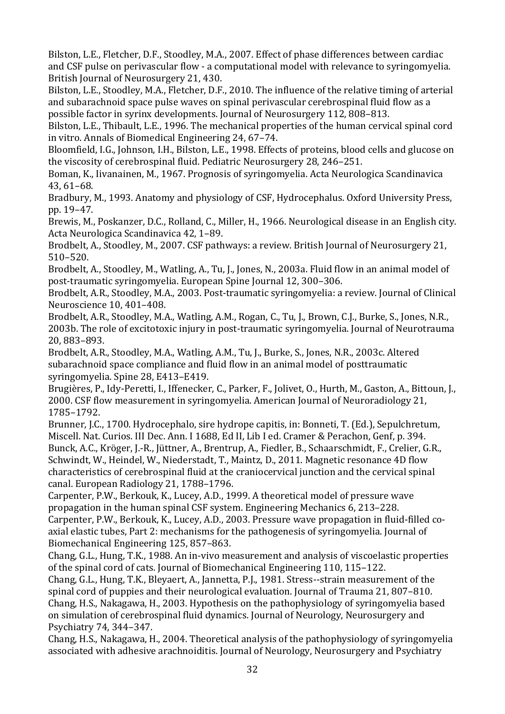<span id="page-31-15"></span>Bilston, L.E., Fletcher, D.F., Stoodley, M.A., 2007. Effect of phase differences between cardiac and CSF pulse on perivascular flow - a computational model with relevance to syringomyelia. British Journal of Neurosurgery 21, 430.

<span id="page-31-16"></span>Bilston, L.E., Stoodley, M.A., Fletcher, D.F., 2010. The influence of the relative timing of arterial and subarachnoid space pulse waves on spinal perivascular cerebrospinal fluid flow as a possible factor in syrinx developments. Journal of Neurosurgery 112, 808–813.

<span id="page-31-5"></span>Bilston, L.E., Thibault, L.E., 1996. The mechanical properties of the human cervical spinal cord in vitro. Annals of Biomedical Engineering 24, 67–74.

<span id="page-31-7"></span>Bloomfield, I.G., Johnson, I.H., Bilston, L.E., 1998. Effects of proteins, blood cells and glucose on the viscosity of cerebrospinal fluid. Pediatric Neurosurgery 28, 246–251.

<span id="page-31-1"></span>Boman, K., Iivanainen, M., 1967. Prognosis of syringomyelia. Acta Neurologica Scandinavica 43, 61–68.

<span id="page-31-8"></span>Bradbury, M., 1993. Anatomy and physiology of CSF, Hydrocephalus. Oxford University Press, pp. 19–47.

<span id="page-31-20"></span>Brewis, M., Poskanzer, D.C., Rolland, C., Miller, H., 1966. Neurological disease in an English city. Acta Neurologica Scandinavica 42, 1–89.

<span id="page-31-6"></span>Brodbelt, A., Stoodley, M., 2007. CSF pathways: a review. British Journal of Neurosurgery 21, 510–520.

<span id="page-31-19"></span>Brodbelt, A., Stoodley, M., Watling, A., Tu, J., Jones, N., 2003a. Fluid flow in an animal model of post-traumatic syringomyelia. European Spine Journal 12, 300–306.

<span id="page-31-0"></span>Brodbelt, A.R., Stoodley, M.A., 2003. Post-traumatic syringomyelia: a review. Journal of Clinical Neuroscience 10, 401–408.

<span id="page-31-18"></span>Brodbelt, A.R., Stoodley, M.A., Watling, A.M., Rogan, C., Tu, J., Brown, C.J., Burke, S., Jones, N.R., 2003b. The role of excitotoxic injury in post-traumatic syringomyelia. Journal of Neurotrauma 20, 883–893.

<span id="page-31-17"></span>Brodbelt, A.R., Stoodley, M.A., Watling, A.M., Tu, J., Burke, S., Jones, N.R., 2003c. Altered subarachnoid space compliance and fluid flow in an animal model of posttraumatic syringomyelia. Spine 28, E413–E419.

<span id="page-31-9"></span>Brugières, P., Idy-Peretti, I., Iffenecker, C., Parker, F., Jolivet, O., Hurth, M., Gaston, A., Bittoun, J., 2000. CSF flow measurement in syringomyelia. American Journal of Neuroradiology 21, 1785–1792.

<span id="page-31-10"></span><span id="page-31-2"></span>Brunner, J.C., 1700. Hydrocephalo, sire hydrope capitis, in: Bonneti, T. (Ed.), Sepulchretum, Miscell. Nat. Curios. III Dec. Ann. I 1688, Ed II, Lib I ed. Cramer & Perachon, Genf, p. 394. Bunck, A.C., Kröger, J.-R., Jüttner, A., Brentrup, A., Fiedler, B., Schaarschmidt, F., Crelier, G.R., Schwindt, W., Heindel, W., Niederstadt, T., Maintz, D., 2011. Magnetic resonance 4D flow characteristics of cerebrospinal fluid at the craniocervical junction and the cervical spinal canal. European Radiology 21, 1788–1796.

<span id="page-31-14"></span><span id="page-31-12"></span>Carpenter, P.W., Berkouk, K., Lucey, A.D., 1999. A theoretical model of pressure wave propagation in the human spinal CSF system. Engineering Mechanics 6, 213–228. Carpenter, P.W., Berkouk, K., Lucey, A.D., 2003. Pressure wave propagation in fluid-filled coaxial elastic tubes, Part 2: mechanisms for the pathogenesis of syringomyelia. Journal of

Biomechanical Engineering 125, 857–863.

<span id="page-31-4"></span>Chang, G.L., Hung, T.K., 1988. An in-vivo measurement and analysis of viscoelastic properties of the spinal cord of cats. Journal of Biomechanical Engineering 110, 115–122.

<span id="page-31-13"></span><span id="page-31-3"></span>Chang, G.L., Hung, T.K., Bleyaert, A., Jannetta, P.J., 1981. Stress--strain measurement of the spinal cord of puppies and their neurological evaluation. Journal of Trauma 21, 807–810. Chang, H.S., Nakagawa, H., 2003. Hypothesis on the pathophysiology of syringomyelia based on simulation of cerebrospinal fluid dynamics. Journal of Neurology, Neurosurgery and Psychiatry 74, 344–347.

<span id="page-31-11"></span>Chang, H.S., Nakagawa, H., 2004. Theoretical analysis of the pathophysiology of syringomyelia associated with adhesive arachnoiditis. Journal of Neurology, Neurosurgery and Psychiatry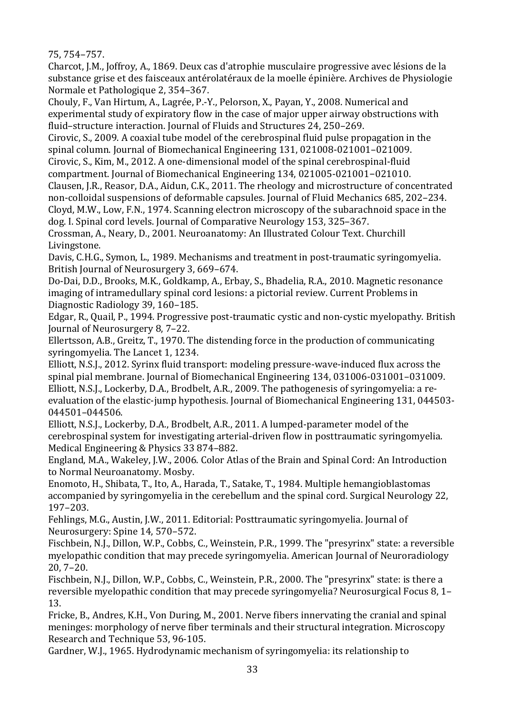75, 754–757.

<span id="page-32-7"></span>Charcot, J.M., Joffroy, A., 1869. Deux cas d'atrophie musculaire progressive avec lésions de la substance grise et des faisceaux antérolatéraux de la moelle épinière. Archives de Physiologie Normale et Pathologique 2, 354–367.

<span id="page-32-1"></span>Chouly, F., Van Hirtum, A., Lagrée, P.-Y., Pelorson, X., Payan, Y., 2008. Numerical and experimental study of expiratory flow in the case of major upper airway obstructions with fluid–structure interaction. Journal of Fluids and Structures 24, 250–269.

<span id="page-32-11"></span>Cirovic, S., 2009. A coaxial tube model of the cerebrospinal fluid pulse propagation in the spinal column. Journal of Biomechanical Engineering 131, 021008-021001–021009. Cirovic, S., Kim, M., 2012. A one-dimensional model of the spinal cerebrospinal-fluid

<span id="page-32-12"></span>compartment. Journal of Biomechanical Engineering 134, 021005-021001−021010.

<span id="page-32-0"></span>Clausen, J.R., Reasor, D.A., Aidun, C.K., 2011. The rheology and microstructure of concentrated non-colloidal suspensions of deformable capsules. Journal of Fluid Mechanics 685, 202–234. Cloyd, M.W., Low, F.N., 1974. Scanning electron microscopy of the subarachnoid space in the dog. I. Spinal cord levels. Journal of Comparative Neurology 153, 325–367.

<span id="page-32-5"></span><span id="page-32-3"></span>Crossman, A., Neary, D., 2001. Neuroanatomy: An Illustrated Colour Text. Churchill Livingstone.

<span id="page-32-16"></span>Davis, C.H.G., Symon, L., 1989. Mechanisms and treatment in post-traumatic syringomyelia. British Journal of Neurosurgery 3, 669–674.

<span id="page-32-17"></span>Do-Dai, D.D., Brooks, M.K., Goldkamp, A., Erbay, S., Bhadelia, R.A., 2010. Magnetic resonance imaging of intramedullary spinal cord lesions: a pictorial review. Current Problems in Diagnostic Radiology 39, 160–185.

<span id="page-32-2"></span>Edgar, R., Quail, P., 1994. Progressive post-traumatic cystic and non-cystic myelopathy. British Journal of Neurosurgery 8, 7–22.

<span id="page-32-19"></span>Ellertsson, A.B., Greitz, T., 1970. The distending force in the production of communicating syringomyelia. The Lancet 1, 1234.

<span id="page-32-14"></span><span id="page-32-13"></span>Elliott, N.S.J., 2012. Syrinx fluid transport: modeling pressure-wave-induced flux across the spinal pial membrane. Journal of Biomechanical Engineering 134, 031006-031001–031009. Elliott, N.S.J., Lockerby, D.A., Brodbelt, A.R., 2009. The pathogenesis of syringomyelia: a reevaluation of the elastic-jump hypothesis. Journal of Biomechanical Engineering 131, 044503- 044501–044506.

<span id="page-32-20"></span>Elliott, N.S.J., Lockerby, D.A., Brodbelt, A.R., 2011. A lumped-parameter model of the cerebrospinal system for investigating arterial-driven flow in posttraumatic syringomyelia. Medical Engineering & Physics 33 874–882.

<span id="page-32-4"></span>England, M.A., Wakeley, J.W., 2006. Color Atlas of the Brain and Spinal Cord: An Introduction to Normal Neuroanatomy. Mosby.

<span id="page-32-15"></span>Enomoto, H., Shibata, T., Ito, A., Harada, T., Satake, T., 1984. Multiple hemangioblastomas accompanied by syringomyelia in the cerebellum and the spinal cord. Surgical Neurology 22, 197–203.

<span id="page-32-18"></span>Fehlings, M.G., Austin, J.W., 2011. Editorial: Posttraumatic syringomyelia. Journal of Neurosurgery: Spine 14, 570–572.

<span id="page-32-9"></span>Fischbein, N.J., Dillon, W.P., Cobbs, C., Weinstein, P.R., 1999. The "presyrinx" state: a reversible myelopathic condition that may precede syringomyelia. American Journal of Neuroradiology 20, 7–20.

<span id="page-32-10"></span>Fischbein, N.J., Dillon, W.P., Cobbs, C., Weinstein, P.R., 2000. The "presyrinx" state: is there a reversible myelopathic condition that may precede syringomyelia? Neurosurgical Focus 8, 1– 13.

<span id="page-32-6"></span>Fricke, B., Andres, K.H., Von During, M., 2001. Nerve fibers innervating the cranial and spinal meninges: morphology of nerve fiber terminals and their structural integration. Microscopy Research and Technique 53, 96-105.

<span id="page-32-8"></span>Gardner, W.J., 1965. Hydrodynamic mechanism of syringomyelia: its relationship to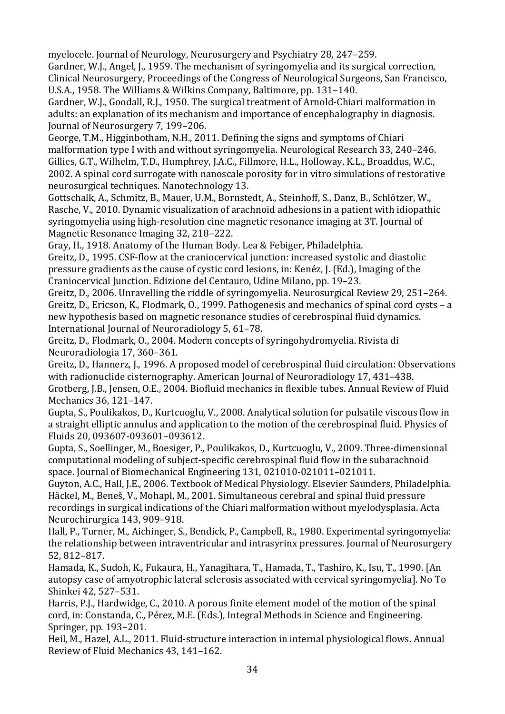myelocele. Journal of Neurology, Neurosurgery and Psychiatry 28, 247–259.

<span id="page-33-8"></span>Gardner, W.J., Angel, J., 1959. The mechanism of syringomyelia and its surgical correction, Clinical Neurosurgery, Proceedings of the Congress of Neurological Surgeons, San Francisco, U.S.A., 1958. The Williams & Wilkins Company, Baltimore, pp. 131–140.

<span id="page-33-7"></span>Gardner, W.J., Goodall, R.J., 1950. The surgical treatment of Arnold-Chiari malformation in adults: an explanation of its mechanism and importance of encephalography in diagnosis. Journal of Neurosurgery 7, 199–206.

<span id="page-33-19"></span><span id="page-33-5"></span>George, T.M., Higginbotham, N.H., 2011. Defining the signs and symptoms of Chiari malformation type I with and without syringomyelia. Neurological Research 33, 240–246. Gillies, G.T., Wilhelm, T.D., Humphrey, J.A.C., Fillmore, H.L., Holloway, K.L., Broaddus, W.C., 2002. A spinal cord surrogate with nanoscale porosity for in vitro simulations of restorative neurosurgical techniques. Nanotechnology 13.

<span id="page-33-17"></span>Gottschalk, A., Schmitz, B., Mauer, U.M., Bornstedt, A., Steinhoff, S., Danz, B., Schlötzer, W., Rasche, V., 2010. Dynamic visualization of arachnoid adhesions in a patient with idiopathic syringomyelia using high-resolution cine magnetic resonance imaging at 3T. Journal of Magnetic Resonance Imaging 32, 218–222.

<span id="page-33-3"></span>Gray, H., 1918. Anatomy of the Human Body. Lea & Febiger, Philadelphia.

<span id="page-33-11"></span>Greitz, D., 1995. CSF-flow at the craniocervical junction: increased systolic and diastolic pressure gradients as the cause of cystic cord lesions, in: Kenéz, J. (Ed.), Imaging of the Craniocervical Junction. Edizione del Centauro, Udine Milano, pp. 19–23.

<span id="page-33-13"></span><span id="page-33-10"></span>Greitz, D., 2006. Unravelling the riddle of syringomyelia. Neurosurgical Review 29, 251–264. Greitz, D., Ericson, K., Flodmark, O., 1999. Pathogenesis and mechanics of spinal cord cysts – a new hypothesis based on magnetic resonance studies of cerebrospinal fluid dynamics. International Journal of Neuroradiology 5, 61–78.

<span id="page-33-12"></span>Greitz, D., Flodmark, O., 2004. Modern concepts of syringohydromyelia. Rivista di Neuroradiologia 17, 360–361.

<span id="page-33-16"></span>Greitz, D., Hannerz, J., 1996. A proposed model of cerebrospinal fluid circulation: Observations with radionuclide cisternography. American Journal of Neuroradiology 17, 431–438. Grotberg, J.B., Jensen, O.E., 2004. Biofluid mechanics in flexible tubes. Annual Review of Fluid Mechanics 36, 121–147.

<span id="page-33-14"></span><span id="page-33-0"></span>Gupta, S., Poulikakos, D., Kurtcuoglu, V., 2008. Analytical solution for pulsatile viscous flow in a straight elliptic annulus and application to the motion of the cerebrospinal fluid. Physics of Fluids 20, 093607-093601–093612.

<span id="page-33-15"></span>Gupta, S., Soellinger, M., Boesiger, P., Poulikakos, D., Kurtcuoglu, V., 2009. Three-dimensional computational modeling of subject-specific cerebrospinal fluid flow in the subarachnoid space. Journal of Biomechanical Engineering 131, 021010-021011–021011.

<span id="page-33-9"></span><span id="page-33-4"></span>Guyton, A.C., Hall, J.E., 2006. Textbook of Medical Physiology. Elsevier Saunders, Philadelphia. Häckel, M., Beneš, V., Mohapl, M., 2001. Simultaneous cerebral and spinal fluid pressure recordings in surgical indications of the Chiari malformation without myelodysplasia. Acta Neurochirurgica 143, 909–918.

<span id="page-33-2"></span>Hall, P., Turner, M., Aichinger, S., Bendick, P., Campbell, R., 1980. Experimental syringomyelia: the relationship between intraventricular and intrasyrinx pressures. Journal of Neurosurgery 52, 812–817.

<span id="page-33-18"></span>Hamada, K., Sudoh, K., Fukaura, H., Yanagihara, T., Hamada, T., Tashiro, K., Isu, T., 1990. [An autopsy case of amyotrophic lateral sclerosis associated with cervical syringomyelia]. No To Shinkei 42, 527–531.

<span id="page-33-6"></span>Harris, P.J., Hardwidge, C., 2010. A porous finite element model of the motion of the spinal cord, in: Constanda, C., Pérez, M.E. (Eds.), Integral Methods in Science and Engineering. Springer, pp. 193–201.

<span id="page-33-1"></span>Heil, M., Hazel, A.L., 2011. Fluid-structure interaction in internal physiological flows. Annual Review of Fluid Mechanics 43, 141–162.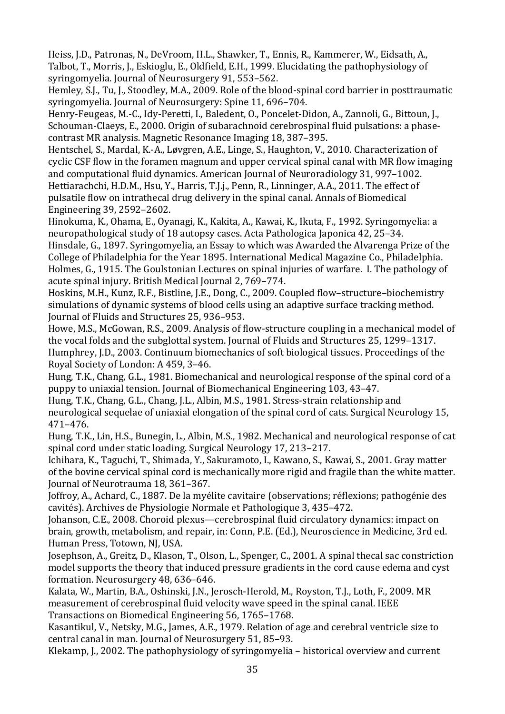<span id="page-34-4"></span>Heiss, J.D., Patronas, N., DeVroom, H.L., Shawker, T., Ennis, R., Kammerer, W., Eidsath, A., Talbot, T., Morris, J., Eskioglu, E., Oldfield, E.H., 1999. Elucidating the pathophysiology of syringomyelia. Journal of Neurosurgery 91, 553–562.

<span id="page-34-15"></span>Hemley, S.J., Tu, J., Stoodley, M.A., 2009. Role of the blood-spinal cord barrier in posttraumatic syringomyelia. Journal of Neurosurgery: Spine 11, 696–704.

<span id="page-34-10"></span>Henry-Feugeas, M.-C., Idy-Peretti, I., Baledent, O., Poncelet-Didon, A., Zannoli, G., Bittoun, J., Schouman-Claeys, E., 2000. Origin of subarachnoid cerebrospinal fluid pulsations: a phasecontrast MR analysis. Magnetic Resonance Imaging 18, 387–395.

<span id="page-34-19"></span><span id="page-34-18"></span>Hentschel, S., Mardal, K.-A., Løvgren, A.E., Linge, S., Haughton, V., 2010. Characterization of cyclic CSF flow in the foramen magnum and upper cervical spinal canal with MR flow imaging and computational fluid dynamics. American Journal of Neuroradiology 31, 997–1002. Hettiarachchi, H.D.M., Hsu, Y., Harris, T.J.j., Penn, R., Linninger, A.A., 2011. The effect of pulsatile flow on intrathecal drug delivery in the spinal canal. Annals of Biomedical Engineering 39, 2592–2602.

<span id="page-34-20"></span><span id="page-34-11"></span>Hinokuma, K., Ohama, E., Oyanagi, K., Kakita, A., Kawai, K., Ikuta, F., 1992. Syringomyelia: a neuropathological study of 18 autopsy cases. Acta Pathologica Japonica 42, 25–34. Hinsdale, G., 1897. Syringomyelia, an Essay to which was Awarded the Alvarenga Prize of the College of Philadelphia for the Year 1895. International Medical Magazine Co., Philadelphia.

<span id="page-34-14"></span>Holmes, G., 1915. The Goulstonian Lectures on spinal injuries of warfare. I. The pathology of acute spinal injury. British Medical Journal 2, 769–774.

<span id="page-34-0"></span>Hoskins, M.H., Kunz, R.F., Bistline, J.E., Dong, C., 2009. Coupled flow–structure–biochemistry simulations of dynamic systems of blood cells using an adaptive surface tracking method. Journal of Fluids and Structures 25, 936–953.

<span id="page-34-2"></span><span id="page-34-1"></span>Howe, M.S., McGowan, R.S., 2009. Analysis of flow-structure coupling in a mechanical model of the vocal folds and the subglottal system. Journal of Fluids and Structures 25, 1299–1317. Humphrey, J.D., 2003. Continuum biomechanics of soft biological tissues. Proceedings of the Royal Society of London: A 459, 3–46.

<span id="page-34-6"></span>Hung, T.K., Chang, G.L., 1981. Biomechanical and neurological response of the spinal cord of a puppy to uniaxial tension. Journal of Biomechanical Engineering 103, 43–47.

<span id="page-34-7"></span>Hung, T.K., Chang, G.L., Chang, J.L., Albin, M.S., 1981. Stress-strain relationship and neurological sequelae of uniaxial elongation of the spinal cord of cats. Surgical Neurology 15, 471–476.

<span id="page-34-8"></span>Hung, T.K., Lin, H.S., Bunegin, L., Albin, M.S., 1982. Mechanical and neurological response of cat spinal cord under static loading. Surgical Neurology 17, 213–217.

<span id="page-34-9"></span>Ichihara, K., Taguchi, T., Shimada, Y., Sakuramoto, I., Kawano, S., Kawai, S., 2001. Gray matter of the bovine cervical spinal cord is mechanically more rigid and fragile than the white matter. Journal of Neurotrauma 18, 361–367.

<span id="page-34-12"></span>Joffroy, A., Achard, C., 1887. De la myélite cavitaire (observations; réflexions; pathogénie des cavités). Archives de Physiologie Normale et Pathologique 3, 435–472.

<span id="page-34-5"></span>Johanson, C.E., 2008. Choroid plexus—cerebrospinal fluid circulatory dynamics: impact on brain, growth, metabolism, and repair, in: Conn, P.E. (Ed.), Neuroscience in Medicine, 3rd ed. Human Press, Totown, NJ, USA.

<span id="page-34-17"></span>Josephson, A., Greitz, D., Klason, T., Olson, L., Spenger, C., 2001. A spinal thecal sac constriction model supports the theory that induced pressure gradients in the cord cause edema and cyst formation. Neurosurgery 48, 636–646.

<span id="page-34-16"></span>Kalata, W., Martin, B.A., Oshinski, J.N., Jerosch-Herold, M., Royston, T.J., Loth, F., 2009. MR measurement of cerebrospinal fluid velocity wave speed in the spinal canal. IEEE Transactions on Biomedical Engineering 56, 1765–1768.

<span id="page-34-13"></span>Kasantikul, V., Netsky, M.G., James, A.E., 1979. Relation of age and cerebral ventricle size to central canal in man. Journal of Neurosurgery 51, 85–93.

<span id="page-34-3"></span>Klekamp, J., 2002. The pathophysiology of syringomyelia – historical overview and current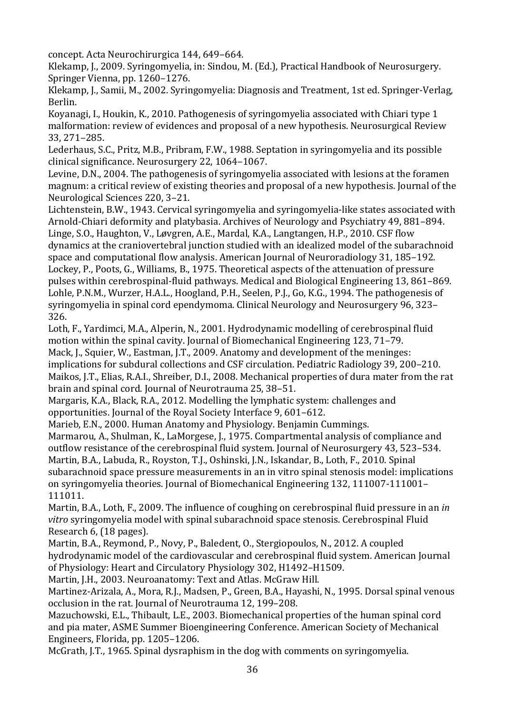concept. Acta Neurochirurgica 144, 649–664.

<span id="page-35-1"></span>Klekamp, J., 2009. Syringomyelia, in: Sindou, M. (Ed.), Practical Handbook of Neurosurgery. Springer Vienna, pp. 1260–1276.

<span id="page-35-2"></span>Klekamp, J., Samii, M., 2002. Syringomyelia: Diagnosis and Treatment, 1st ed. Springer-Verlag, Berlin.

<span id="page-35-20"></span>Koyanagi, I., Houkin, K., 2010. Pathogenesis of syringomyelia associated with Chiari type 1 malformation: review of evidences and proposal of a new hypothesis. Neurosurgical Review 33, 271–285.

<span id="page-35-21"></span>Lederhaus, S.C., Pritz, M.B., Pribram, F.W., 1988. Septation in syringomyelia and its possible clinical significance. Neurosurgery 22, 1064–1067.

<span id="page-35-3"></span>Levine, D.N., 2004. The pathogenesis of syringomyelia associated with lesions at the foramen magnum: a critical review of existing theories and proposal of a new hypothesis. Journal of the Neurological Sciences 220, 3–21.

<span id="page-35-18"></span><span id="page-35-11"></span>Lichtenstein, B.W., 1943. Cervical syringomyelia and syringomyelia-like states associated with Arnold-Chiari deformity and platybasia. Archives of Neurology and Psychiatry 49, 881–894. Linge, S.O., Haughton, V., Løvgren, A.E., Mardal, K.A., Langtangen, H.P., 2010. CSF flow dynamics at the craniovertebral junction studied with an idealized model of the subarachnoid space and computational flow analysis. American Journal of Neuroradiology 31, 185–192. Lockey, P., Poots, G., Williams, B., 1975. Theoretical aspects of the attenuation of pressure pulses within cerebrospinal-fluid pathways. Medical and Biological Engineering 13, 861–869. Lohle, P.N.M., Wurzer, H.A.L., Hoogland, P.H., Seelen, P.J., Go, K.G., 1994. The pathogenesis of syringomyelia in spinal cord ependymoma. Clinical Neurology and Neurosurgery 96, 323–

<span id="page-35-15"></span><span id="page-35-14"></span>326.

<span id="page-35-19"></span><span id="page-35-8"></span>Loth, F., Yardimci, M.A., Alperin, N., 2001. Hydrodynamic modelling of cerebrospinal fluid motion within the spinal cavity. Journal of Biomechanical Engineering 123, 71–79. Mack, J., Squier, W., Eastman, J.T., 2009. Anatomy and development of the meninges: implications for subdural collections and CSF circulation. Pediatric Radiology 39, 200–210. Maikos, J.T., Elias, R.A.I., Shreiber, D.I., 2008. Mechanical properties of dura mater from the rat

<span id="page-35-7"></span>brain and spinal cord. Journal of Neurotrauma 25, 38–51.

<span id="page-35-0"></span>Margaris, K.A., Black, R.A., 2012. Modelling the lymphatic system: challenges and opportunities. Journal of the Royal Society Interface 9, 601–612.

<span id="page-35-4"></span>Marieb, E.N., 2000. Human Anatomy and Physiology. Benjamin Cummings.

<span id="page-35-17"></span><span id="page-35-9"></span>Marmarou, A., Shulman, K., LaMorgese, J., 1975. Compartmental analysis of compliance and outflow resistance of the cerebrospinal fluid system. Journal of Neurosurgery 43, 523–534. Martin, B.A., Labuda, R., Royston, T.J., Oshinski, J.N., Iskandar, B., Loth, F., 2010. Spinal subarachnoid space pressure measurements in an in vitro spinal stenosis model: implications on syringomyelia theories. Journal of Biomechanical Engineering 132, 111007-111001– 111011.

<span id="page-35-16"></span>Martin, B.A., Loth, F., 2009. The influence of coughing on cerebrospinal fluid pressure in an *in vitro* syringomyelia model with spinal subarachnoid space stenosis. Cerebrospinal Fluid Research 6, (18 pages).

<span id="page-35-10"></span>Martin, B.A., Reymond, P., Novy, P., Baledent, O., Stergiopoulos, N., 2012. A coupled hydrodynamic model of the cardiovascular and cerebrospinal fluid system. American Journal of Physiology: Heart and Circulatory Physiology 302, H1492–H1509.

<span id="page-35-5"></span>Martin, J.H., 2003. Neuroanatomy: Text and Atlas. McGraw Hill.

<span id="page-35-13"></span>Martinez-Arizala, A., Mora, R.J., Madsen, P., Green, B.A., Hayashi, N., 1995. Dorsal spinal venous occlusion in the rat. Journal of Neurotrauma 12, 199–208.

<span id="page-35-6"></span>Mazuchowski, E.L., Thibault, L.E., 2003. Biomechanical properties of the human spinal cord and pia mater, ASME Summer Bioengineering Conference. American Society of Mechanical Engineers, Florida, pp. 1205–1206.

<span id="page-35-12"></span>McGrath, J.T., 1965. Spinal dysraphism in the dog with comments on syringomyelia.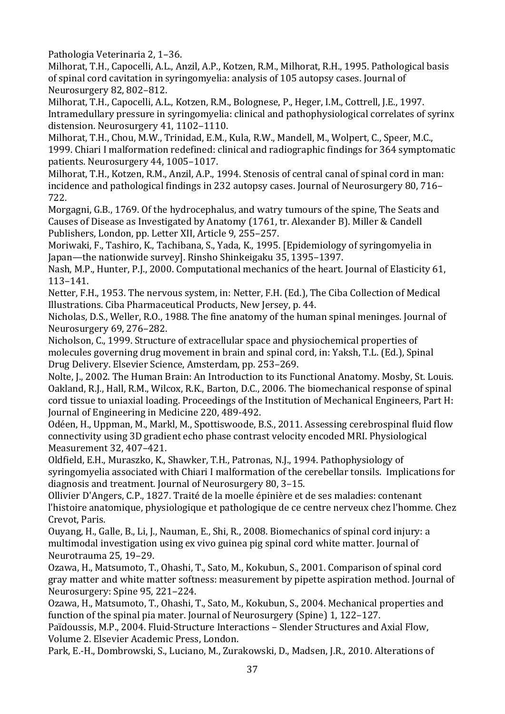Pathologia Veterinaria 2, 1–36.

<span id="page-36-18"></span>Milhorat, T.H., Capocelli, A.L., Anzil, A.P., Kotzen, R.M., Milhorat, R.H., 1995. Pathological basis of spinal cord cavitation in syringomyelia: analysis of 105 autopsy cases. Journal of Neurosurgery 82, 802–812.

<span id="page-36-4"></span>Milhorat, T.H., Capocelli, A.L., Kotzen, R.M., Bolognese, P., Heger, I.M., Cottrell, J.E., 1997. Intramedullary pressure in syringomyelia: clinical and pathophysiological correlates of syrinx distension. Neurosurgery 41, 1102–1110.

<span id="page-36-3"></span>Milhorat, T.H., Chou, M.W., Trinidad, E.M., Kula, R.W., Mandell, M., Wolpert, C., Speer, M.C., 1999. Chiari I malformation redefined: clinical and radiographic findings for 364 symptomatic patients. Neurosurgery 44, 1005–1017.

<span id="page-36-12"></span>Milhorat, T.H., Kotzen, R.M., Anzil, A.P., 1994. Stenosis of central canal of spinal cord in man: incidence and pathological findings in 232 autopsy cases. Journal of Neurosurgery 80, 716– 722.

<span id="page-36-14"></span>Morgagni, G.B., 1769. Of the hydrocephalus, and watry tumours of the spine, The Seats and Causes of Disease as Investigated by Anatomy (1761, tr. Alexander B). Miller & Candell Publishers, London, pp. Letter XII, Article 9, 255–257.

<span id="page-36-2"></span>Moriwaki, F., Tashiro, K., Tachibana, S., Yada, K., 1995. [Epidemiology of syringomyelia in Japan—the nationwide survey]. Rinsho Shinkeigaku 35, 1395–1397.

<span id="page-36-0"></span>Nash, M.P., Hunter, P.J., 2000. Computational mechanics of the heart. Journal of Elasticity 61, 113–141.

<span id="page-36-19"></span>Netter, F.H., 1953. The nervous system, in: Netter, F.H. (Ed.), The Ciba Collection of Medical Illustrations. Ciba Pharmaceutical Products, New Jersey, p. 44.

<span id="page-36-10"></span>Nicholas, D.S., Weller, R.O., 1988. The fine anatomy of the human spinal meninges. Journal of Neurosurgery 69, 276–282.

<span id="page-36-5"></span>Nicholson, C., 1999. Structure of extracellular space and physiochemical properties of molecules governing drug movement in brain and spinal cord, in: Yaksh, T.L. (Ed.), Spinal Drug Delivery. Elsevier Science, Amsterdam, pp. 253–269.

<span id="page-36-11"></span><span id="page-36-8"></span>Nolte, J., 2002. The Human Brain: An Introduction to its Functional Anatomy. Mosby, St. Louis. Oakland, R.J., Hall, R.M., Wilcox, R.K., Barton, D.C., 2006. The biomechanical response of spinal cord tissue to uniaxial loading. Proceedings of the Institution of Mechanical Engineers, Part H: Journal of Engineering in Medicine 220, 489-492.

<span id="page-36-17"></span>Odéen, H., Uppman, M., Markl, M., Spottiswoode, B.S., 2011. Assessing cerebrospinal fluid flow connectivity using 3D gradient echo phase contrast velocity encoded MRI. Physiological Measurement 32, 407–421.

<span id="page-36-16"></span>Oldfield, E.H., Muraszko, K., Shawker, T.H., Patronas, N.J., 1994. Pathophysiology of syringomyelia associated with Chiari I malformation of the cerebellar tonsils. Implications for diagnosis and treatment. Journal of Neurosurgery 80, 3–15.

<span id="page-36-15"></span>Ollivier D'Angers, C.P., 1827. Traité de la moelle épinière et de ses maladies: contenant l'histoire anatomique, physiologique et pathologique de ce centre nerveux chez l'homme. Chez Crevot, Paris.

<span id="page-36-9"></span>Ouyang, H., Galle, B., Li, J., Nauman, E., Shi, R., 2008. Biomechanics of spinal cord injury: a multimodal investigation using ex vivo guinea pig spinal cord white matter. Journal of Neurotrauma 25, 19–29.

<span id="page-36-6"></span>Ozawa, H., Matsumoto, T., Ohashi, T., Sato, M., Kokubun, S., 2001. Comparison of spinal cord gray matter and white matter softness: measurement by pipette aspiration method. Journal of Neurosurgery: Spine 95, 221–224.

<span id="page-36-7"></span>Ozawa, H., Matsumoto, T., Ohashi, T., Sato, M., Kokubun, S., 2004. Mechanical properties and function of the spinal pia mater. Journal of Neurosurgery (Spine) 1, 122–127.

<span id="page-36-1"></span>Païdoussis, M.P., 2004. Fluid-Structure Interactions – Slender Structures and Axial Flow, Volume 2. Elsevier Academic Press, London.

<span id="page-36-13"></span>Park, E.-H., Dombrowski, S., Luciano, M., Zurakowski, D., Madsen, J.R., 2010. Alterations of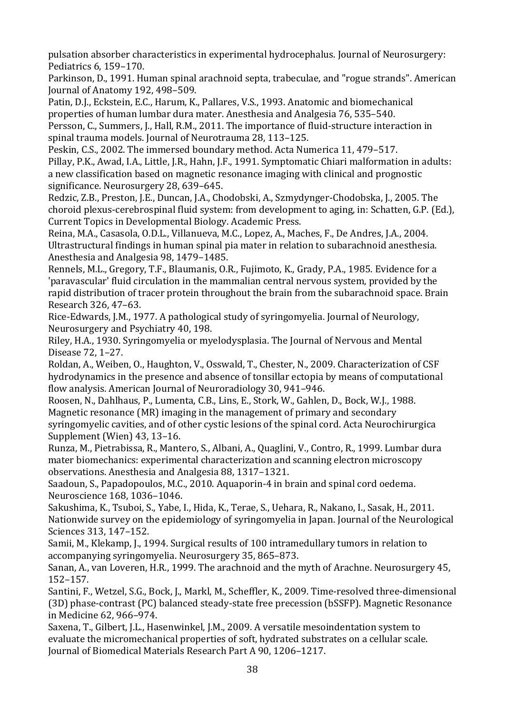pulsation absorber characteristics in experimental hydrocephalus. Journal of Neurosurgery: Pediatrics 6, 159–170.

<span id="page-37-8"></span>Parkinson, D., 1991. Human spinal arachnoid septa, trabeculae, and "rogue strands". American Journal of Anatomy 192, 498–509.

<span id="page-37-5"></span>Patin, D.J., Eckstein, E.C., Harum, K., Pallares, V.S., 1993. Anatomic and biomechanical properties of human lumbar dura mater. Anesthesia and Analgesia 76, 535–540.

<span id="page-37-11"></span>Persson, C., Summers, J., Hall, R.M., 2011. The importance of fluid-structure interaction in spinal trauma models. Journal of Neurotrauma 28, 113–125.

<span id="page-37-17"></span><span id="page-37-0"></span>Peskin, C.S., 2002. The immersed boundary method. Acta Numerica 11, 479–517. Pillay, P.K., Awad, I.A., Little, J.R., Hahn, J.F., 1991. Symptomatic Chiari malformation in adults: a new classification based on magnetic resonance imaging with clinical and prognostic significance. Neurosurgery 28, 639–645.

<span id="page-37-10"></span>Redzic, Z.B., Preston, J.E., Duncan, J.A., Chodobski, A., Szmydynger-Chodobska, J., 2005. The choroid plexus-cerebrospinal fluid system: from development to aging, in: Schatten, G.P. (Ed.), Current Topics in Developmental Biology. Academic Press.

<span id="page-37-3"></span>Reina, M.A., Casasola, O.D.L., Villanueva, M.C., Lopez, A., Maches, F., De Andres, J.A., 2004. Ultrastructural findings in human spinal pia mater in relation to subarachnoid anesthesia. Anesthesia and Analgesia 98, 1479–1485.

<span id="page-37-9"></span>Rennels, M.L., Gregory, T.F., Blaumanis, O.R., Fujimoto, K., Grady, P.A., 1985. Evidence for a 'paravascular' fluid circulation in the mammalian central nervous system, provided by the rapid distribution of tracer protein throughout the brain from the subarachnoid space. Brain Research 326, 47–63.

<span id="page-37-13"></span>Rice-Edwards, J.M., 1977. A pathological study of syringomyelia. Journal of Neurology, Neurosurgery and Psychiatry 40, 198.

<span id="page-37-12"></span>Riley, H.A., 1930. Syringomyelia or myelodysplasia. The Journal of Nervous and Mental Disease 72, 1–27.

<span id="page-37-15"></span>Roldan, A., Weiben, O., Haughton, V., Osswald, T., Chester, N., 2009. Characterization of CSF hydrodynamics in the presence and absence of tonsillar ectopia by means of computational flow analysis. American Journal of Neuroradiology 30, 941–946.

<span id="page-37-18"></span>Roosen, N., Dahlhaus, P., Lumenta, C.B., Lins, E., Stork, W., Gahlen, D., Bock, W.J., 1988. Magnetic resonance (MR) imaging in the management of primary and secondary syringomyelic cavities, and of other cystic lesions of the spinal cord. Acta Neurochirurgica Supplement (Wien) 43, 13–16.

<span id="page-37-6"></span>Runza, M., Pietrabissa, R., Mantero, S., Albani, A., Quaglini, V., Contro, R., 1999. Lumbar dura mater biomechanics: experimental characterization and scanning electron microscopy observations. Anesthesia and Analgesia 88, 1317–1321.

<span id="page-37-4"></span>Saadoun, S., Papadopoulos, M.C., 2010. Aquaporin-4 in brain and spinal cord oedema. Neuroscience 168, 1036–1046.

<span id="page-37-1"></span>Sakushima, K., Tsuboi, S., Yabe, I., Hida, K., Terae, S., Uehara, R., Nakano, I., Sasak, H., 2011. Nationwide survey on the epidemiology of syringomyelia in Japan. Journal of the Neurological Sciences 313, 147–152.

<span id="page-37-14"></span>Samii, M., Klekamp, J., 1994. Surgical results of 100 intramedullary tumors in relation to accompanying syringomyelia. Neurosurgery 35, 865–873.

<span id="page-37-2"></span>Sanan, A., van Loveren, H.R., 1999. The arachnoid and the myth of Arachne. Neurosurgery 45, 152–157.

<span id="page-37-16"></span>Santini, F., Wetzel, S.G., Bock, J., Markl, M., Scheffler, K., 2009. Time-resolved three-dimensional (3D) phase-contrast (PC) balanced steady-state free precession (bSSFP). Magnetic Resonance in Medicine 62, 966–974.

<span id="page-37-7"></span>Saxena, T., Gilbert, J.L., Hasenwinkel, J.M., 2009. A versatile mesoindentation system to evaluate the micromechanical properties of soft, hydrated substrates on a cellular scale. Journal of Biomedical Materials Research Part A 90, 1206–1217.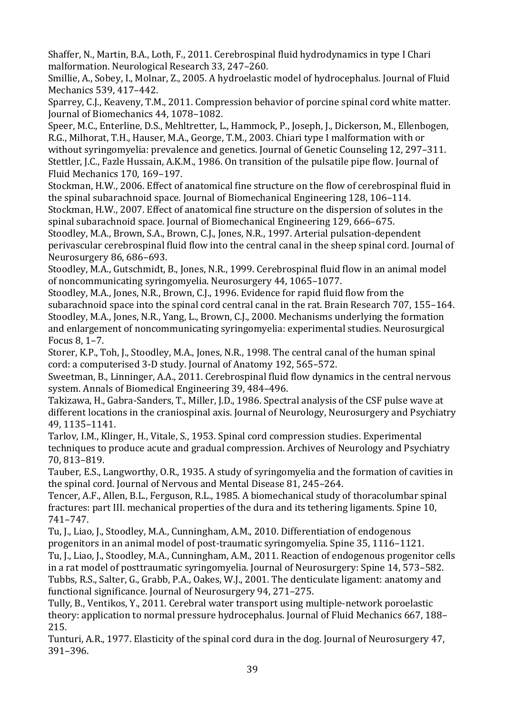<span id="page-38-13"></span>Shaffer, N., Martin, B.A., Loth, F., 2011. Cerebrospinal fluid hydrodynamics in type I Chari malformation. Neurological Research 33, 247–260.

<span id="page-38-7"></span>Smillie, A., Sobey, I., Molnar, Z., 2005. A hydroelastic model of hydrocephalus. Journal of Fluid Mechanics 539, 417–442.

<span id="page-38-5"></span>Sparrey, C.J., Keaveny, T.M., 2011. Compression behavior of porcine spinal cord white matter. Journal of Biomechanics 44, 1078–1082.

<span id="page-38-21"></span>Speer, M.C., Enterline, D.S., Mehltretter, L., Hammock, P., Joseph, J., Dickerson, M., Ellenbogen, R.G., Milhorat, T.H., Hauser, M.A., George, T.M., 2003. Chiari type I malformation with or without syringomyelia: prevalence and genetics. Journal of Genetic Counseling 12, 297–311. Stettler, J.C., Fazle Hussain, A.K.M., 1986. On transition of the pulsatile pipe flow. Journal of Fluid Mechanics 170, 169–197.

<span id="page-38-14"></span><span id="page-38-1"></span>Stockman, H.W., 2006. Effect of anatomical fine structure on the flow of cerebrospinal fluid in the spinal subarachnoid space. Journal of Biomechanical Engineering 128, 106–114.

<span id="page-38-15"></span>Stockman, H.W., 2007. Effect of anatomical fine structure on the dispersion of solutes in the spinal subarachnoid space. Journal of Biomechanical Engineering 129, 666–675.

<span id="page-38-16"></span>Stoodley, M.A., Brown, S.A., Brown, C.J., Jones, N.R., 1997. Arterial pulsation-dependent perivascular cerebrospinal fluid flow into the central canal in the sheep spinal cord. Journal of Neurosurgery 86, 686–693.

<span id="page-38-17"></span>Stoodley, M.A., Gutschmidt, B., Jones, N.R., 1999. Cerebrospinal fluid flow in an animal model of noncommunicating syringomyelia. Neurosurgery 44, 1065–1077.

<span id="page-38-18"></span><span id="page-38-8"></span>Stoodley, M.A., Jones, N.R., Brown, C.J., 1996. Evidence for rapid fluid flow from the subarachnoid space into the spinal cord central canal in the rat. Brain Research 707, 155–164. Stoodley, M.A., Jones, N.R., Yang, L., Brown, C.J., 2000. Mechanisms underlying the formation and enlargement of noncommunicating syringomyelia: experimental studies. Neurosurgical Focus 8, 1–7.

<span id="page-38-12"></span>Storer, K.P., Toh, J., Stoodley, M.A., Jones, N.R., 1998. The central canal of the human spinal cord: a computerised 3-D study. Journal of Anatomy 192, 565–572.

<span id="page-38-2"></span>Sweetman, B., Linninger, A.A., 2011. Cerebrospinal fluid flow dynamics in the central nervous system. Annals of Biomedical Engineering 39, 484–496.

<span id="page-38-9"></span>Takizawa, H., Gabra-Sanders, T., Miller, J.D., 1986. Spectral analysis of the CSF pulse wave at different locations in the craniospinal axis. Journal of Neurology, Neurosurgery and Psychiatry 49, 1135–1141.

<span id="page-38-11"></span>Tarlov, I.M., Klinger, H., Vitale, S., 1953. Spinal cord compression studies. Experimental techniques to produce acute and gradual compression. Archives of Neurology and Psychiatry 70, 813–819.

<span id="page-38-10"></span>Tauber, E.S., Langworthy, O.R., 1935. A study of syringomyelia and the formation of cavities in the spinal cord. Journal of Nervous and Mental Disease 81, 245–264.

<span id="page-38-4"></span>Tencer, A.F., Allen, B.L., Ferguson, R.L., 1985. A biomechanical study of thoracolumbar spinal fractures: part III. mechanical properties of the dura and its tethering ligaments. Spine 10, 741–747.

<span id="page-38-19"></span>Tu, J., Liao, J., Stoodley, M.A., Cunningham, A.M., 2010. Differentiation of endogenous progenitors in an animal model of post-traumatic syringomyelia. Spine 35, 1116–1121.

<span id="page-38-20"></span><span id="page-38-6"></span>Tu, J., Liao, J., Stoodley, M.A., Cunningham, A.M., 2011. Reaction of endogenous progenitor cells in a rat model of posttraumatic syringomyelia. Journal of Neurosurgery: Spine 14, 573–582. Tubbs, R.S., Salter, G., Grabb, P.A., Oakes, W.J., 2001. The denticulate ligament: anatomy and functional significance. Journal of Neurosurgery 94, 271–275.

<span id="page-38-0"></span>Tully, B., Ventikos, Y., 2011. Cerebral water transport using multiple-network poroelastic theory: application to normal pressure hydrocephalus. Journal of Fluid Mechanics 667, 188– 215.

<span id="page-38-3"></span>Tunturi, A.R., 1977. Elasticity of the spinal cord dura in the dog. Journal of Neurosurgery 47, 391–396.